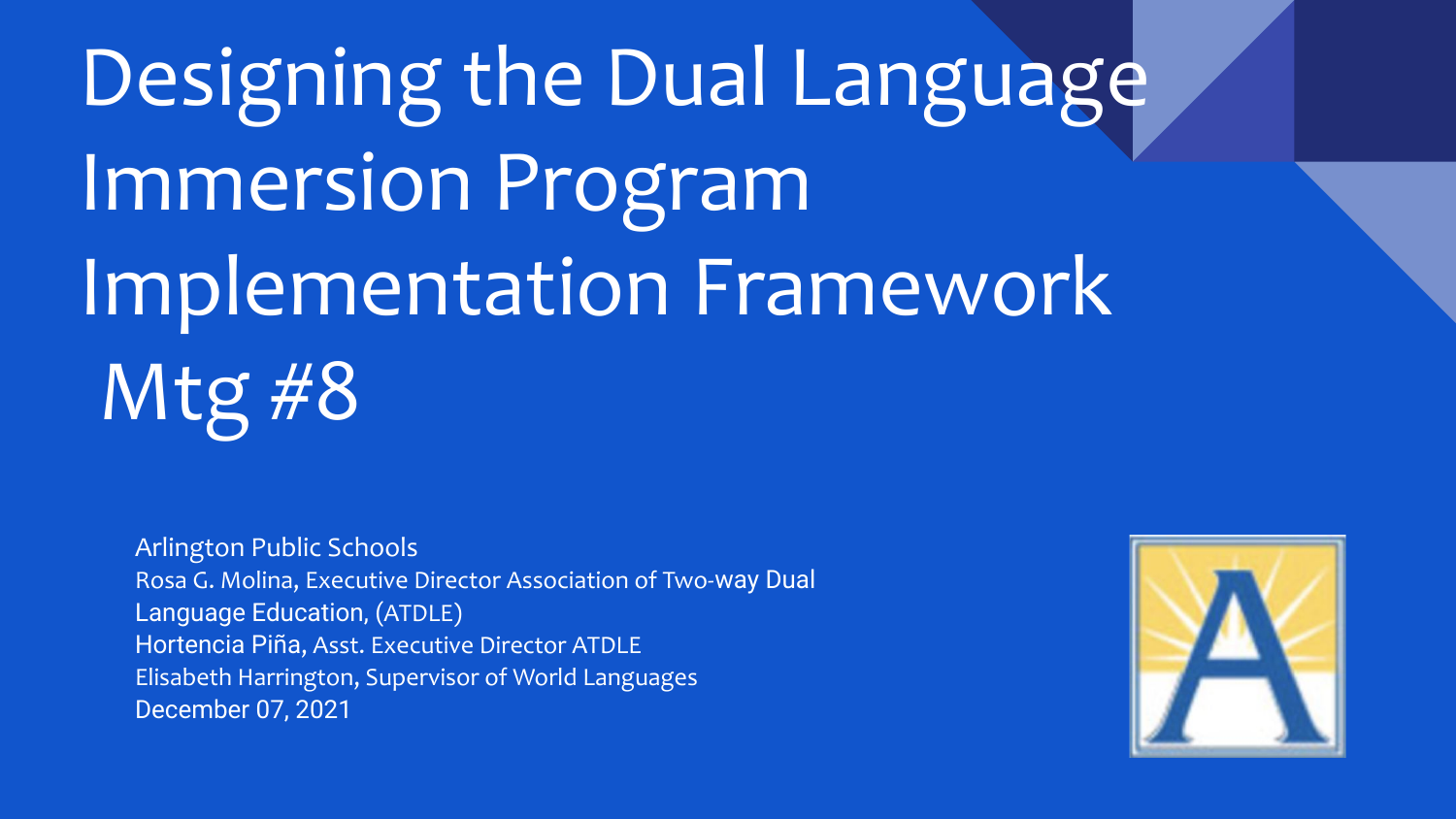Designing the Dual Language Immersion Program Implementation Framework Mtg #8

Arlington Public Schools Rosa G. Molina, Executive Director Association of Two-way Dual Language Education, (ATDLE) Hortencia Piña, Asst. Executive Director ATDLE Elisabeth Harrington, Supervisor of World Languages December 07, 2021

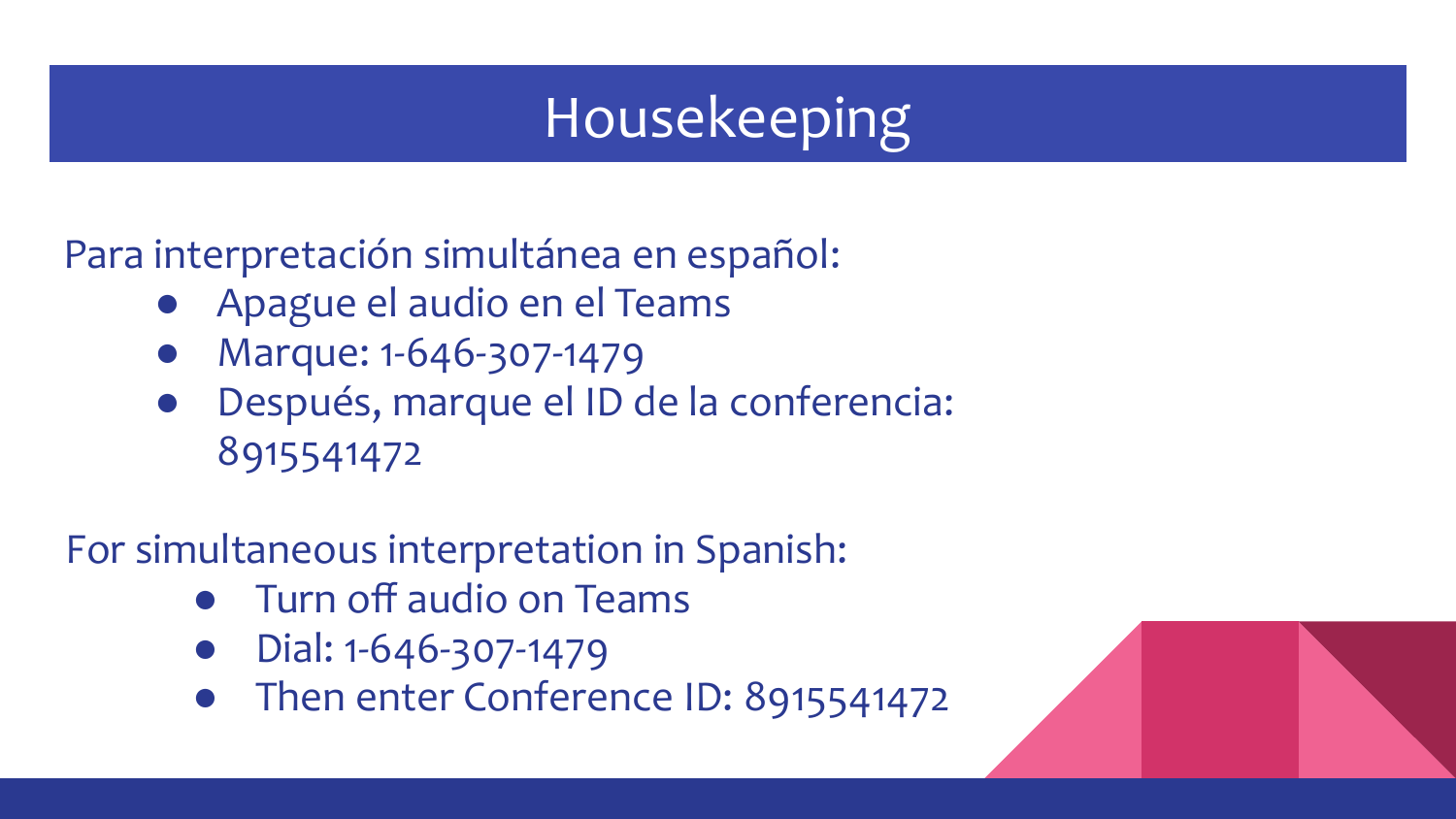### Housekeeping

Para interpretación simultánea en español:

- Apague el audio en el Teams
- Marque: 1-646-307-1479
- Después, marque el ID de la conferencia: 8915541472

For simultaneous interpretation in Spanish:

- **Turn off audio on Teams**
- Dial: 1-646-307-1479
- Then enter Conference ID: 8915541472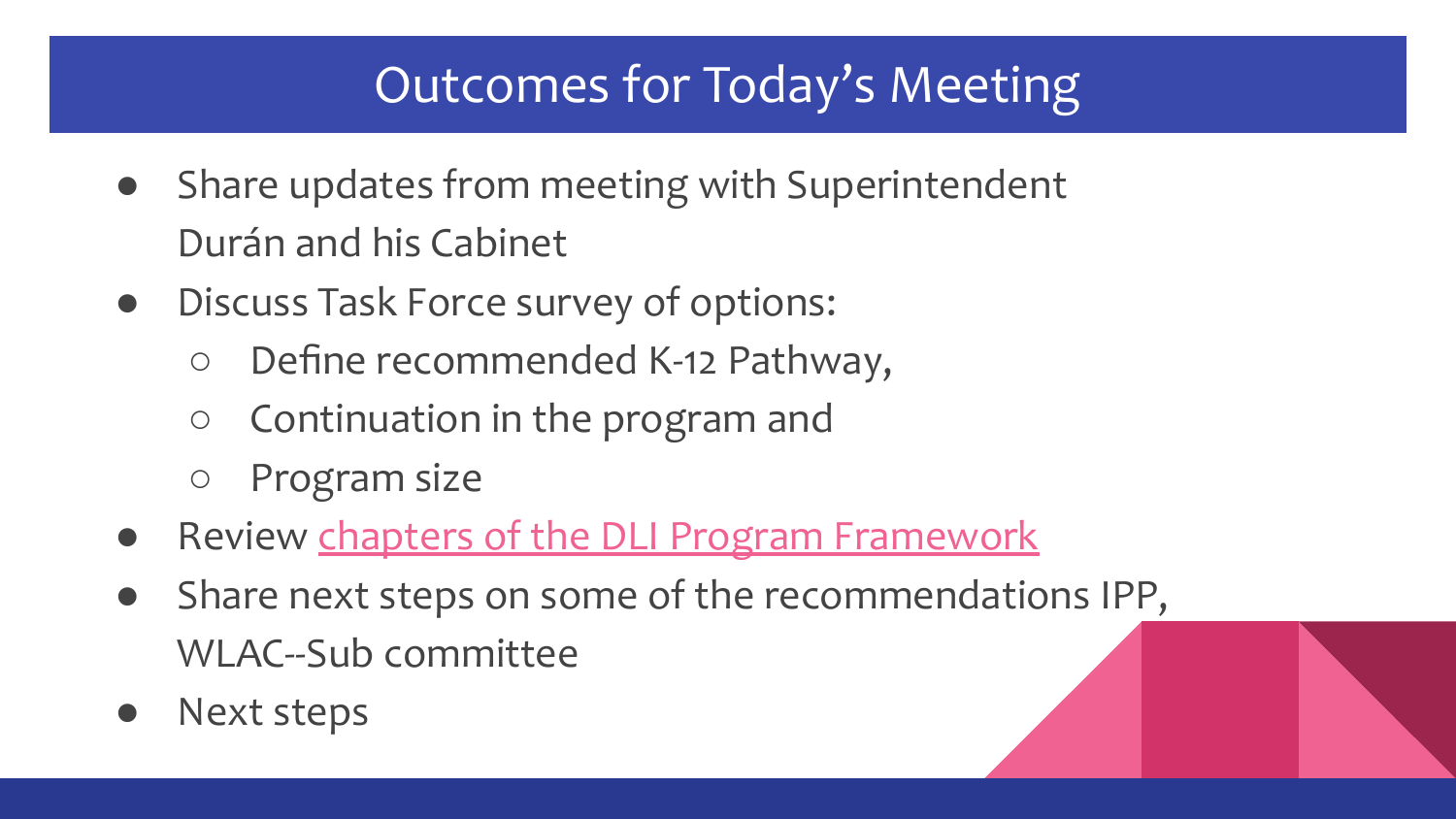#### Outcomes for Today's Meeting

- Share updates from meeting with Superintendent Durán and his Cabinet
- Discuss Task Force survey of options:
	- Define recommended K-12 Pathway,
	- Continuation in the program and
	- Program size
- Review [chapters of the DLI Program Framework](https://docs.google.com/document/d/1hmVUI3g2DKjPMBTMKnJ73041fUSFWXGx/edit?usp=sharing&ouid=104117142333306215553&rtpof=true&sd=true)
- Share next steps on some of the recommendations IPP, WLAC--Sub committee
- Next steps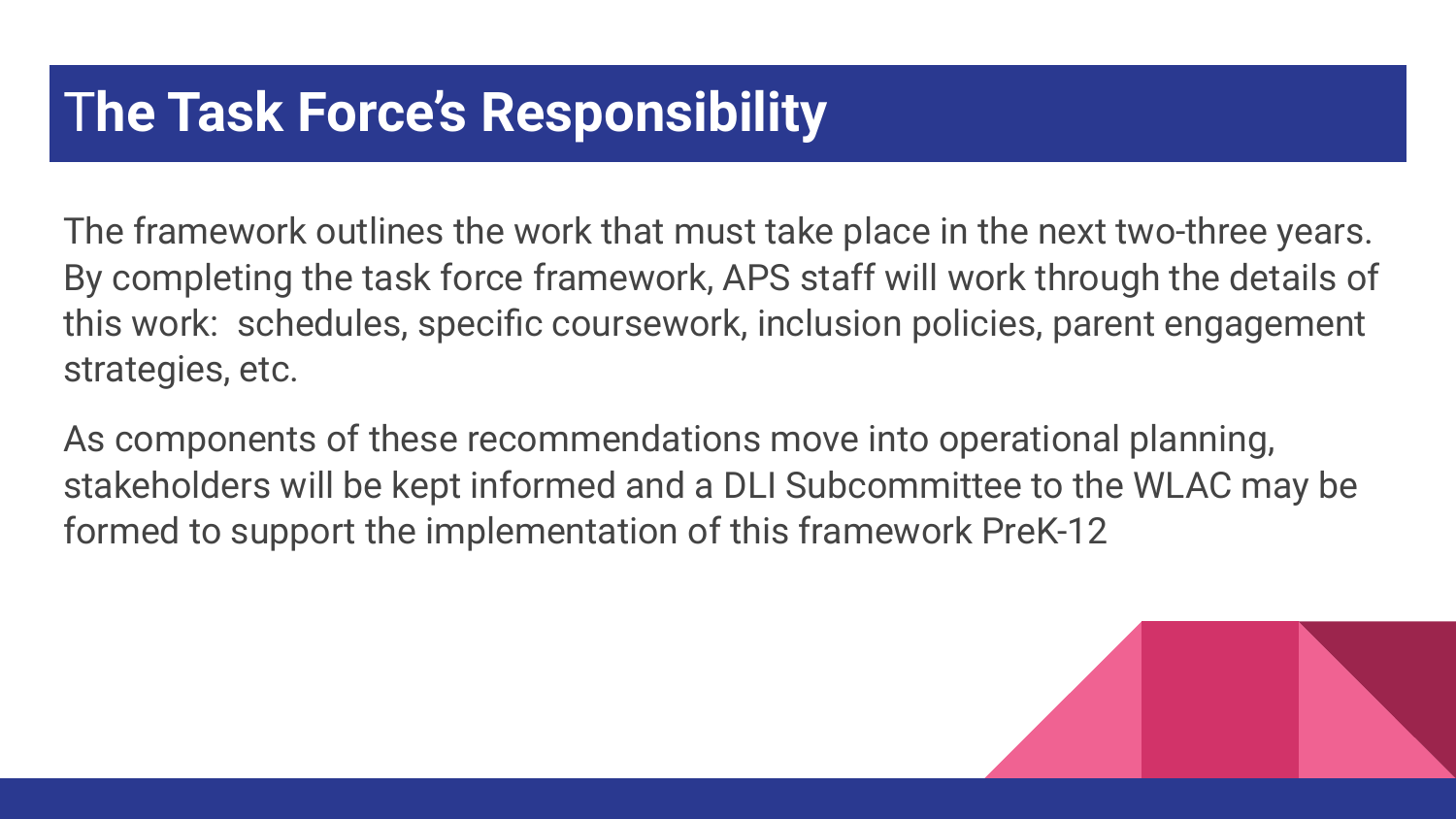#### T**he Task Force's Responsibility**

The framework outlines the work that must take place in the next two-three years. By completing the task force framework, APS staff will work through the details of this work: schedules, specific coursework, inclusion policies, parent engagement strategies, etc.

As components of these recommendations move into operational planning, stakeholders will be kept informed and a DLI Subcommittee to the WLAC may be formed to support the implementation of this framework PreK-12

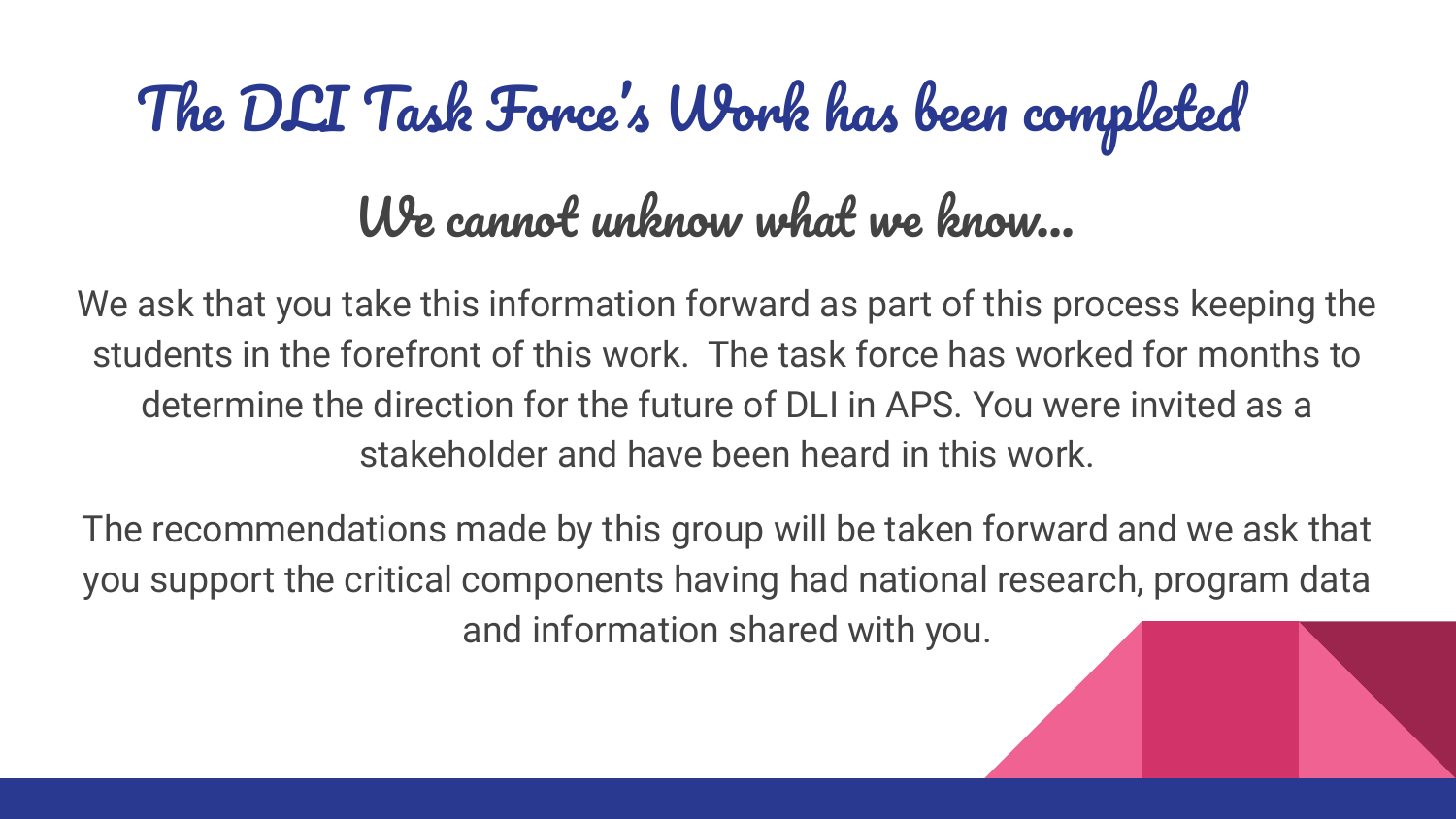# The DLI Task Force's Work has been completed

### We cannot unknow what we know…

We ask that you take this information forward as part of this process keeping the students in the forefront of this work. The task force has worked for months to determine the direction for the future of DLI in APS. You were invited as a stakeholder and have been heard in this work.

The recommendations made by this group will be taken forward and we ask that you support the critical components having had national research, program data and information shared with you.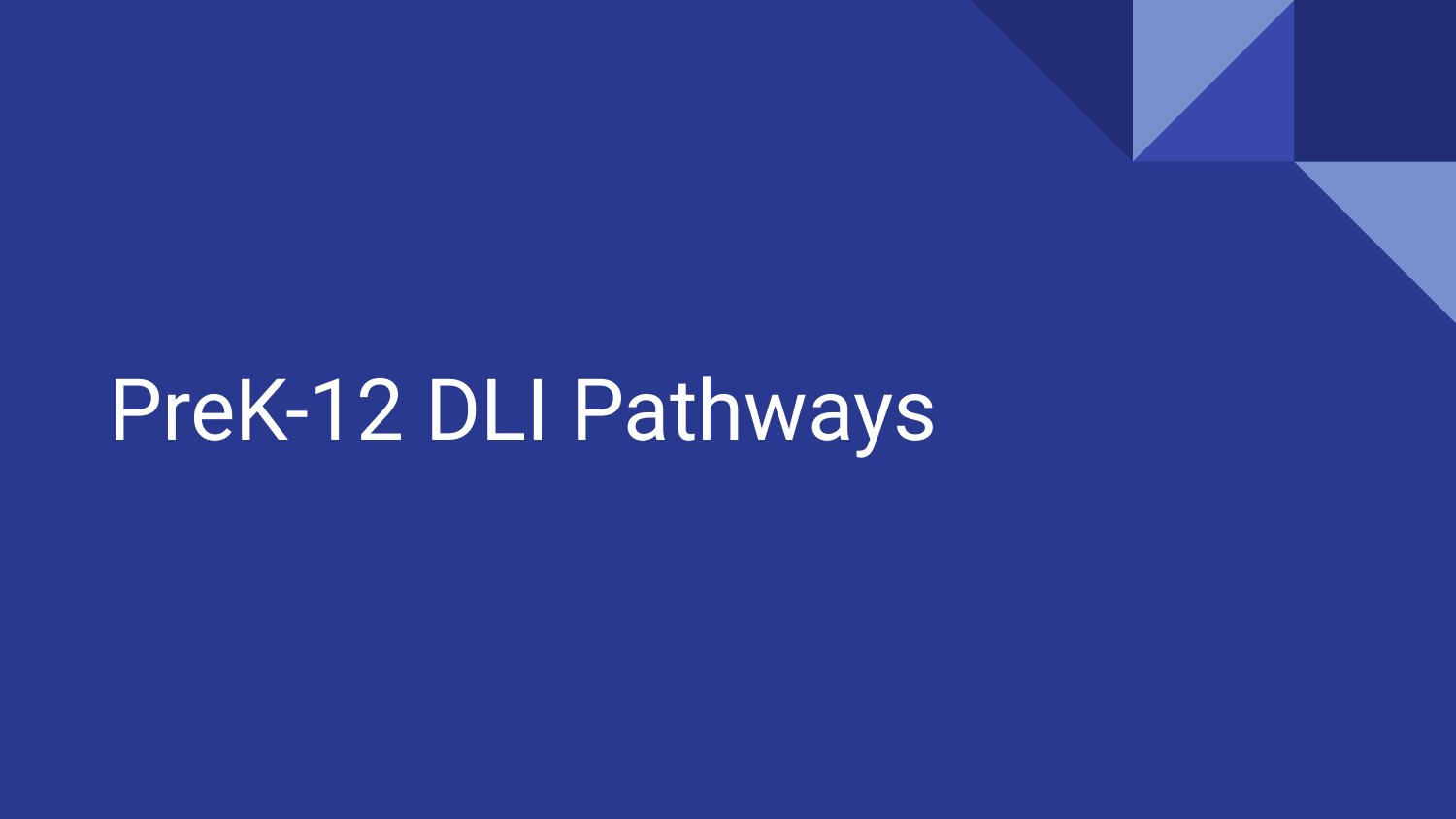PreK-12 DLI Pathways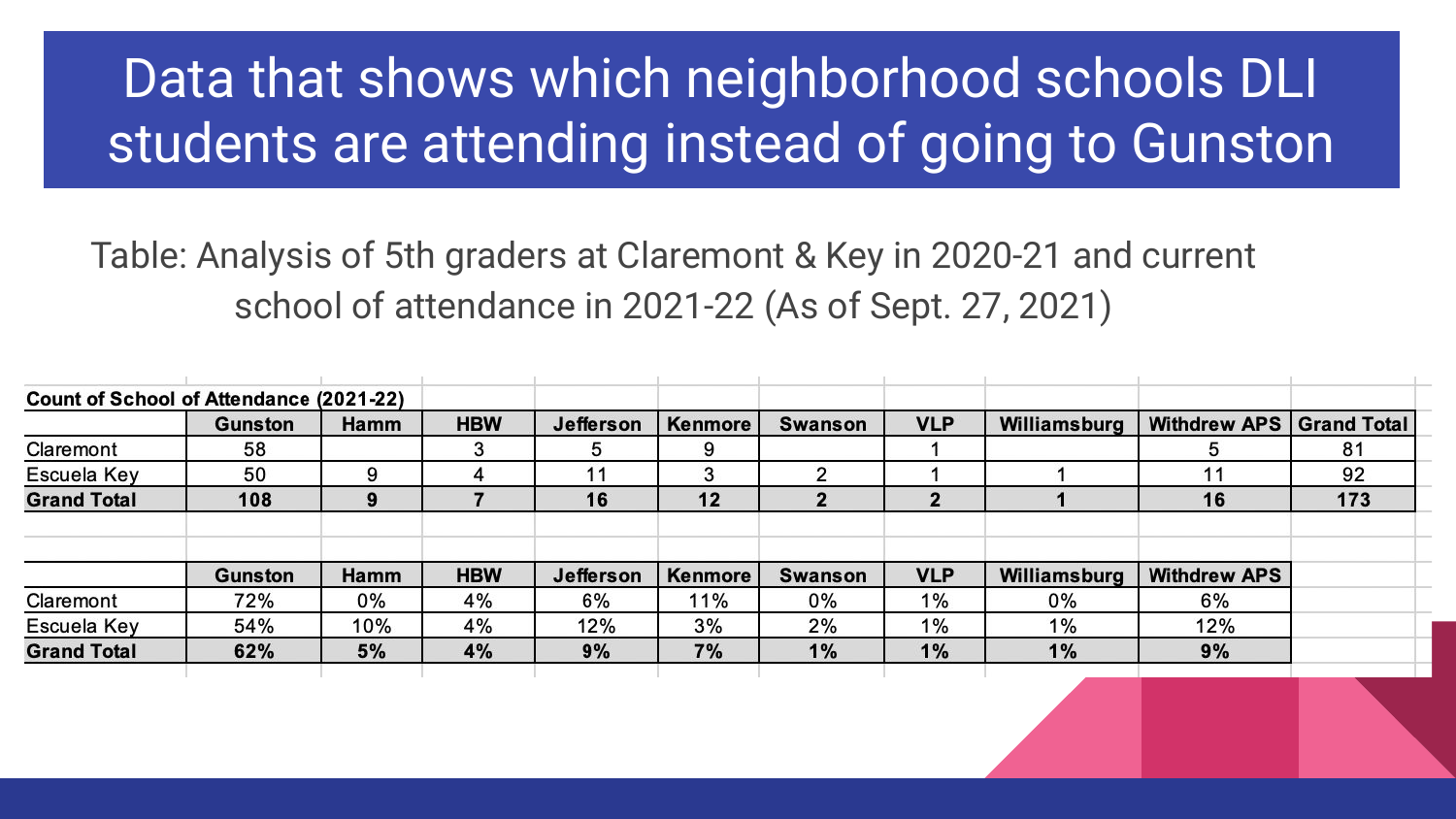## Data that shows which neighborhood schools DLI students are attending instead of going to Gunston

Table: Analysis of 5th graders at Claremont & Key in 2020-21 and current school of attendance in 2021-22 (As of Sept. 27, 2021)

| Count of School of Attendance (2021-22) |                |      |            |                  |                |                |            |              |                          |     |
|-----------------------------------------|----------------|------|------------|------------------|----------------|----------------|------------|--------------|--------------------------|-----|
|                                         | <b>Gunston</b> | Hamm | <b>HBW</b> | <b>Jefferson</b> | <b>Kenmore</b> | <b>Swanson</b> | <b>VLP</b> | Williamsburg | Withdrew APS Grand Total |     |
| Claremont                               | 58             |      | 3          | 5                | 9              |                |            |              |                          | 81  |
| Escuela Key                             | 50             | 9    | 4          | 11               | 3              | ◠              |            |              |                          | 92  |
| <b>Grand Total</b>                      | 108            | 9    |            | 16               | 12             | 2              | 2          |              | 16                       | 173 |
|                                         |                |      |            |                  |                |                |            |              |                          |     |
|                                         | Gunston        | Hamm | <b>HBW</b> | Jefferson        | Kenmore        | Swanson        | <b>VLP</b> | Williamsburg | <b>Withdrew APS</b>      |     |
| Claremont                               | 72%            | 0%   | 4%         | 6%               | 11%            | 0%             | 1%         | 0%           | 6%                       |     |
| Escuela Key                             | 54%            | 10%  | 4%         | 12%              | 3%             | 2%             | $1\%$      | $1\%$        | 12%                      |     |
| <b>Grand Total</b>                      | 62%            | 5%   | 4%         | 9%               | 7%             | 1%             | 1%         | 1%           | 9%                       |     |
|                                         |                |      |            |                  |                |                |            |              |                          |     |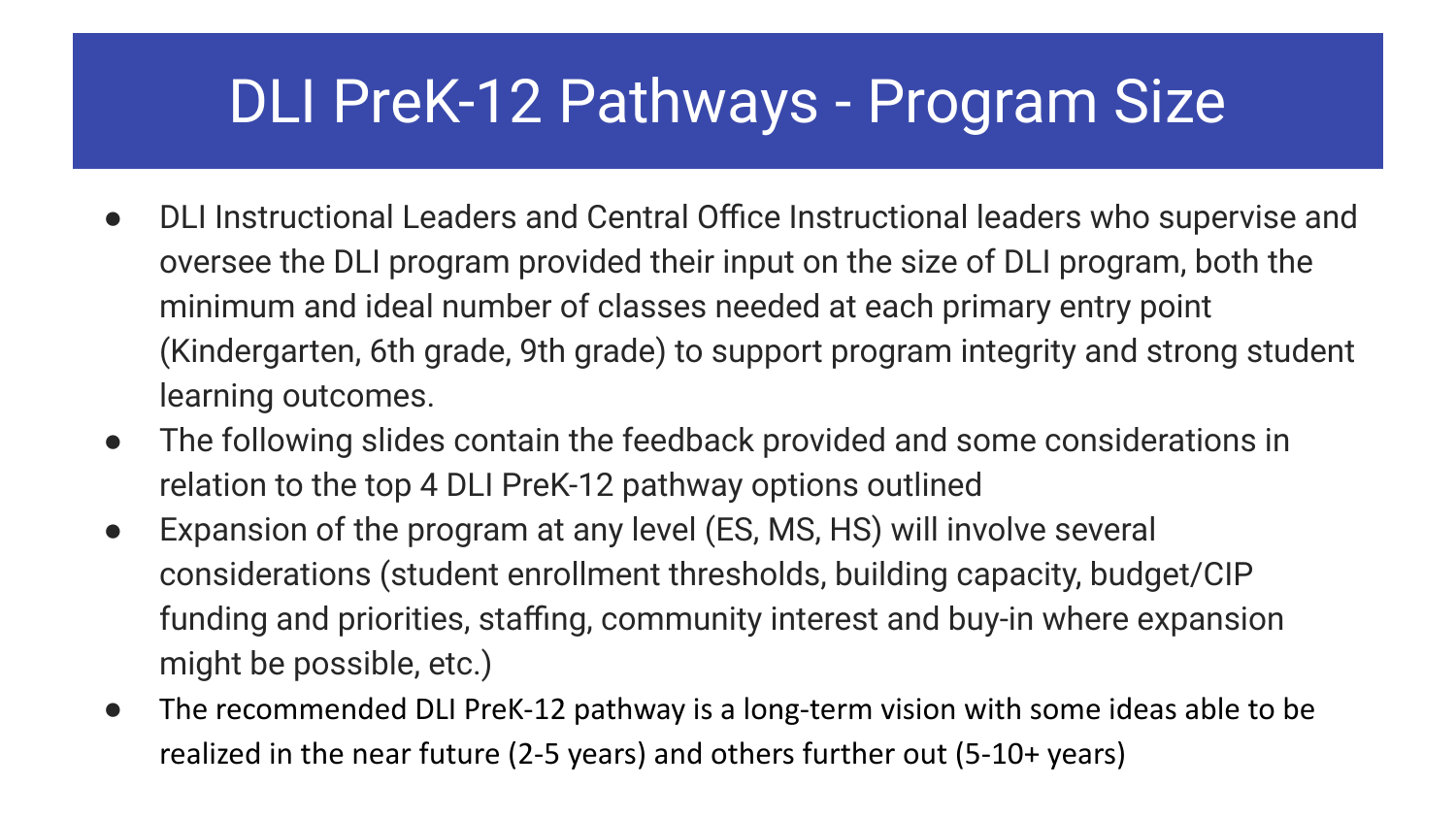## DLI PreK-12 Pathways - Program Size

- DLI Instructional Leaders and Central Office Instructional leaders who supervise and oversee the DLI program provided their input on the size of DLI program, both the minimum and ideal number of classes needed at each primary entry point (Kindergarten, 6th grade, 9th grade) to support program integrity and strong student learning outcomes.
- The following slides contain the feedback provided and some considerations in relation to the top 4 DLI PreK-12 pathway options outlined
- Expansion of the program at any level (ES, MS, HS) will involve several considerations (student enrollment thresholds, building capacity, budget/CIP funding and priorities, staffing, community interest and buy-in where expansion might be possible, etc.)
- The recommended DLI PreK-12 pathway is a long-term vision with some ideas able to be realized in the near future (2-5 years) and others further out (5-10+ years)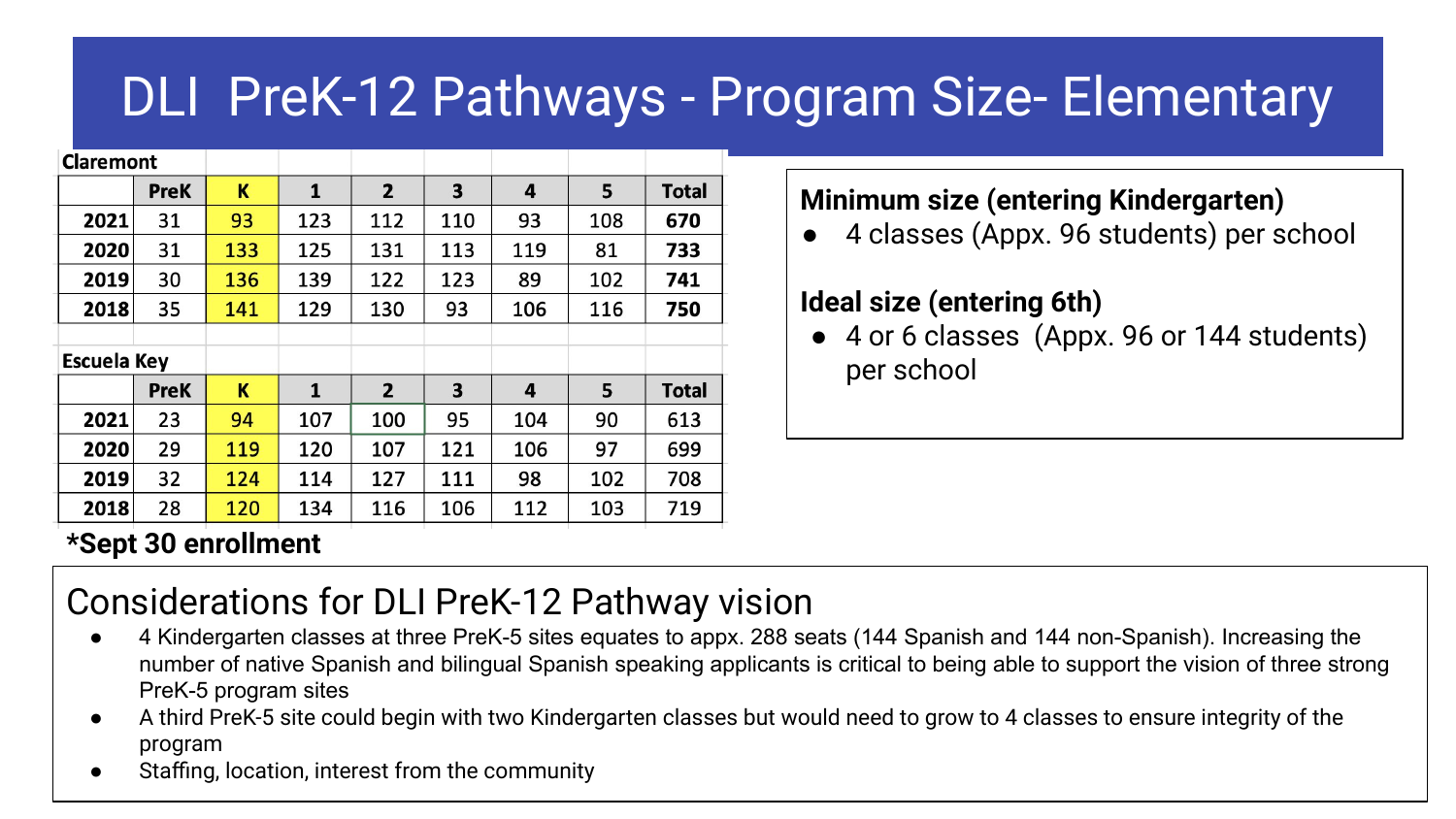### DLI PreK-12 Pathways - Program Size- Elementary

| <b>Claremont</b>   |             |     |              |                |     |     |     |              |
|--------------------|-------------|-----|--------------|----------------|-----|-----|-----|--------------|
|                    | <b>PreK</b> | K   | 1            | $\mathbf{2}$   | 3   | 4   | 5   | <b>Total</b> |
| 2021               | 31          | 93  | 123          | 112            | 110 | 93  | 108 | 670          |
| 2020               | 31          | 133 | 125          | 131            | 113 | 119 | 81  | 733          |
| 2019               | 30          | 136 | 139          | 122            | 123 | 89  | 102 | 741          |
| 2018               | 35          | 141 | 129          | 130            | 93  | 106 | 116 | 750          |
|                    |             |     |              |                |     |     |     |              |
| <b>Escuela Key</b> |             |     |              |                |     |     |     |              |
|                    | <b>PreK</b> | K   | $\mathbf{1}$ | $\overline{2}$ | 3   | 4   | 5   | <b>Total</b> |
| 2021               | 23          | 94  | 107          | 100            | 95  | 104 | 90  | 613          |
| 2020               | 29          | 119 | 120          | 107            | 121 | 106 | 97  | 699          |
| 2019               | 32          | 124 | 114          | 127            | 111 | 98  | 102 | 708          |
| 2018               | 28          | 120 | 134          | 116            | 106 | 112 | 103 | 719          |

#### **Minimum size (entering Kindergarten)**

● 4 classes (Appx. 96 students) per school

#### **Ideal size (entering 6th)**

● 4 or 6 classes (Appx. 96 or 144 students) per school

#### **\*Sept 30 enrollment**

#### Considerations for DLI PreK-12 Pathway vision

- 4 Kindergarten classes at three PreK-5 sites equates to appx. 288 seats (144 Spanish and 144 non-Spanish). Increasing the number of native Spanish and bilingual Spanish speaking applicants is critical to being able to support the vision of three strong PreK-5 program sites
- A third PreK-5 site could begin with two Kindergarten classes but would need to grow to 4 classes to ensure integrity of the program
- Staffing, location, interest from the community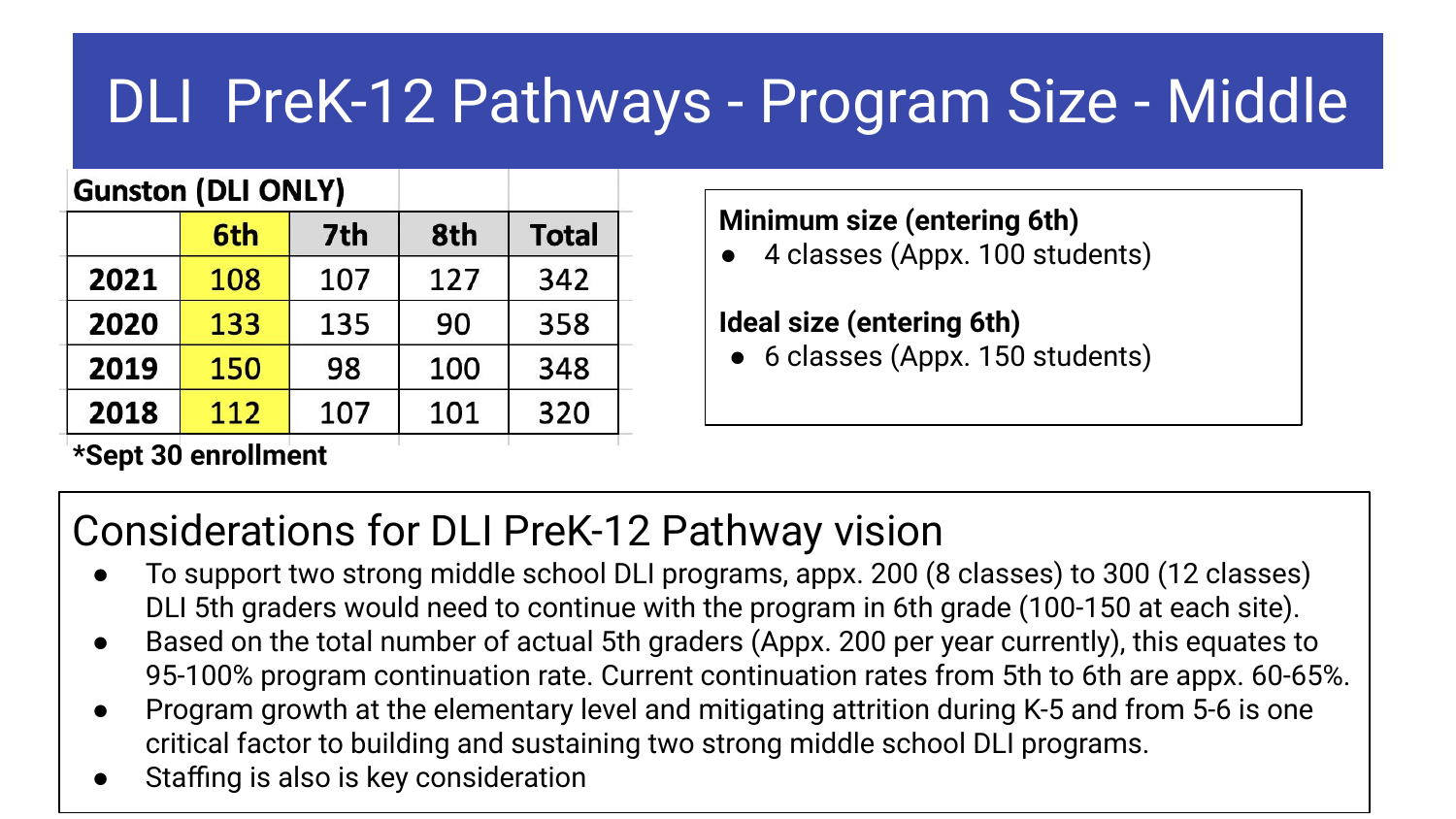# DLI PreK-12 Pathways - Program Size - Middle

#### **Gunston (DLI ONLY)**

|      | 6th | 7th | 8th | <b>Total</b> |
|------|-----|-----|-----|--------------|
| 2021 | 108 | 107 | 127 | 342          |
| 2020 | 133 | 135 | 90  | 358          |
| 2019 | 150 | 98  | 100 | 348          |
| 2018 | 112 | 107 | 101 | 320          |

#### **Minimum size (entering 6th)**

4 classes (Appx. 100 students)

#### **Ideal size (entering 6th)**

• 6 classes (Appx. 150 students)

#### **\*Sept 30 enrollment**

#### Considerations for DLI PreK-12 Pathway vision

- To support two strong middle school DLI programs, appx. 200 (8 classes) to 300 (12 classes) DLI 5th graders would need to continue with the program in 6th grade (100-150 at each site).
- Based on the total number of actual 5th graders (Appx. 200 per year currently), this equates to 95-100% program continuation rate. Current continuation rates from 5th to 6th are appx. 60-65%.
- Program growth at the elementary level and mitigating attrition during K-5 and from 5-6 is one critical factor to building and sustaining two strong middle school DLI programs.
- Staffing is also is key consideration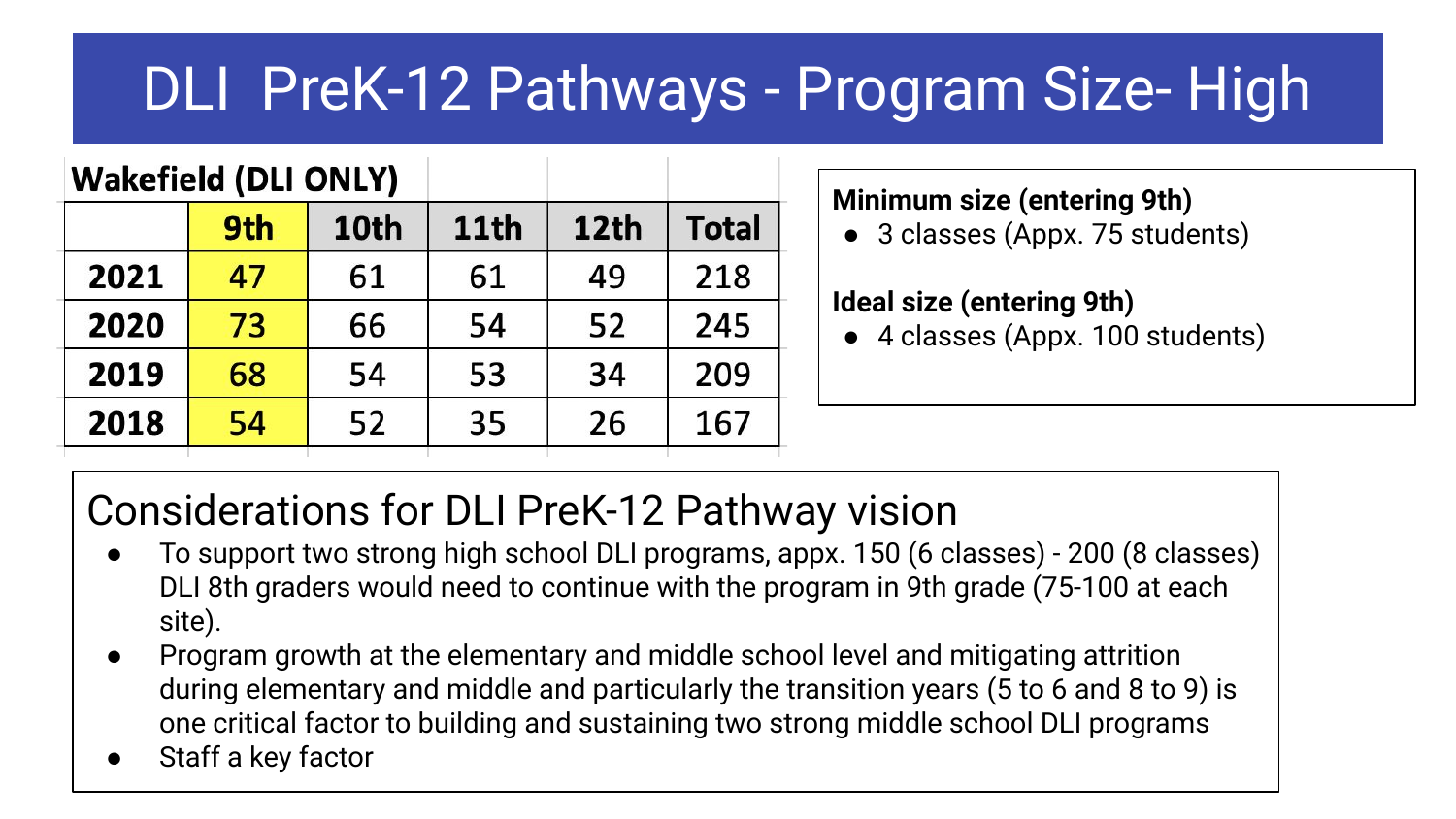# DLI PreK-12 Pathways - Program Size- High

#### **Wakefield (DLI ONLY)**

|      | 9th | 10th | 11th | 12th | <b>Total</b> |
|------|-----|------|------|------|--------------|
| 2021 | 47  | 61   | 61   | 49   | 218          |
| 2020 | 73  | 66   | 54   | 52   | 245          |
| 2019 | 68  | 54   | 53   | 34   | 209          |
| 2018 | 54  | 52   | 35   | 26   | 167          |

#### **Minimum size (entering 9th)**

• 3 classes (Appx. 75 students)

#### **Ideal size (entering 9th)**

● 4 classes (Appx. 100 students)

#### Considerations for DLI PreK-12 Pathway vision

- To support two strong high school DLI programs, appx. 150 (6 classes) 200 (8 classes) DLI 8th graders would need to continue with the program in 9th grade (75-100 at each site).
- Program growth at the elementary and middle school level and mitigating attrition during elementary and middle and particularly the transition years (5 to 6 and 8 to 9) is one critical factor to building and sustaining two strong middle school DLI programs
- Staff a key factor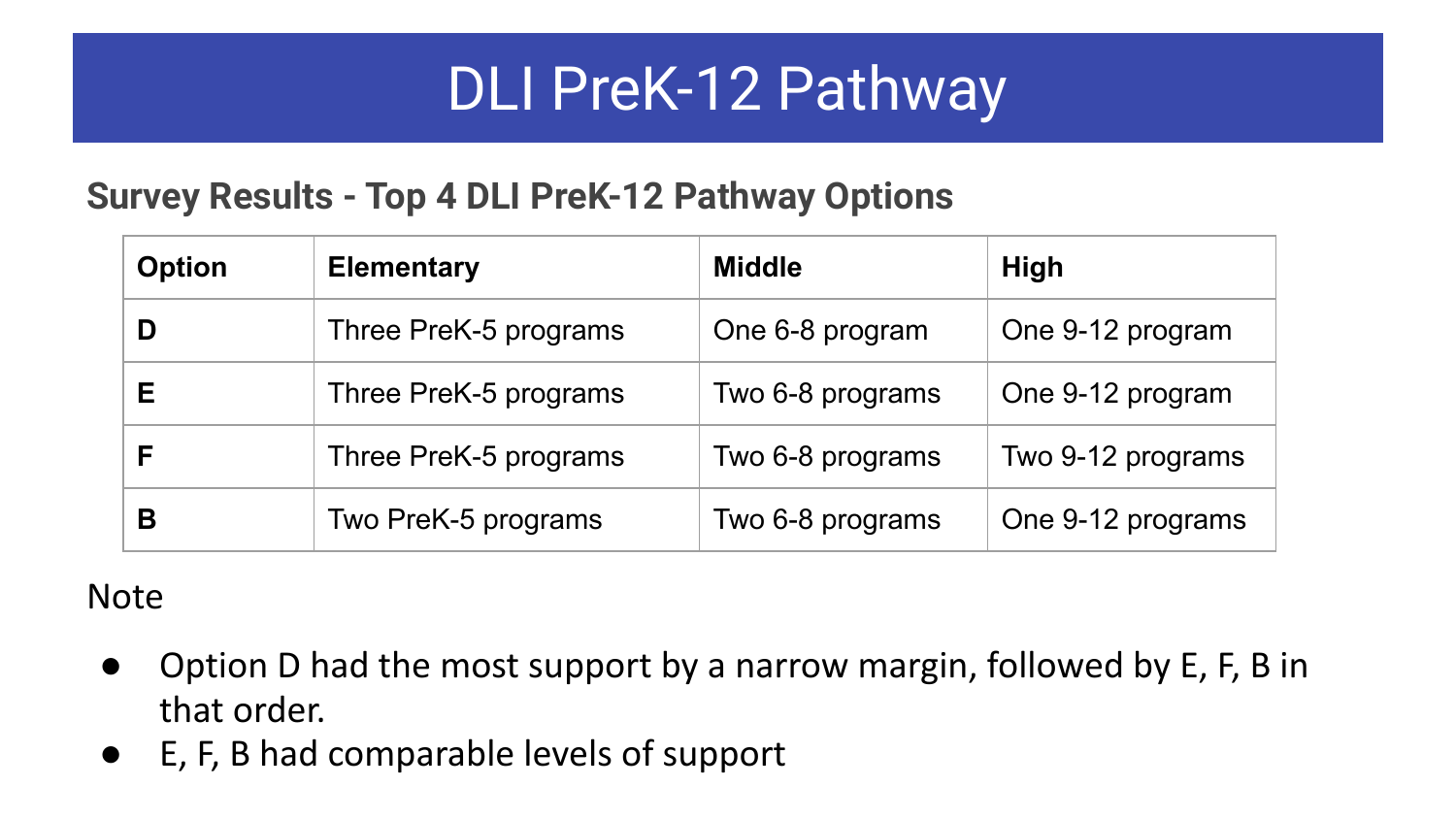#### **Survey Results - Top 4 DLI PreK-12 Pathway Options**

| <b>Option</b> | <b>Elementary</b>     | <b>Middle</b>    | High              |
|---------------|-----------------------|------------------|-------------------|
| D             | Three PreK-5 programs | One 6-8 program  | One 9-12 program  |
| Е             | Three PreK-5 programs | Two 6-8 programs | One 9-12 program  |
| F             | Three PreK-5 programs | Two 6-8 programs | Two 9-12 programs |
| В             | Two PreK-5 programs   | Two 6-8 programs | One 9-12 programs |

#### Note

- Option D had the most support by a narrow margin, followed by E, F, B in that order.
- E, F, B had comparable levels of support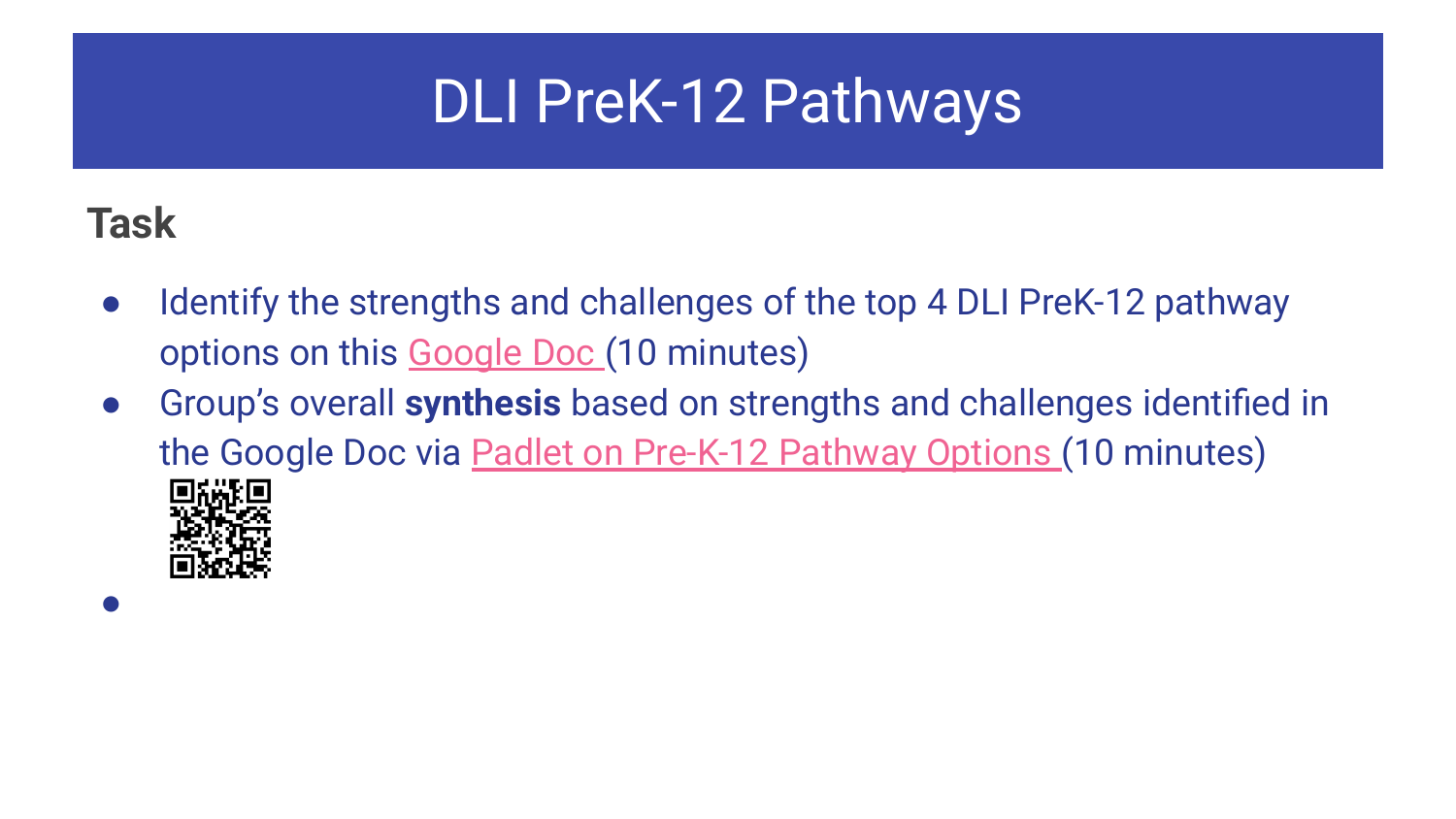#### **Task**

●

- Identify the strengths and challenges of the top 4 DLI PreK-12 pathway options on this [Google Doc](https://docs.google.com/document/d/1g8TxXt2S7QBWe9s_k9KvB88RyKzRhu9r7xCgzrQ_2FE/edit?usp=sharing) (10 minutes)
- Group's overall **synthesis** based on strengths and challenges identified in the Google Doc via [Padlet on Pre-K-12 Pathway Options \(](https://padlet.com/elisabeth_harrington/6gnd6bhcmzej80f2)10 minutes)

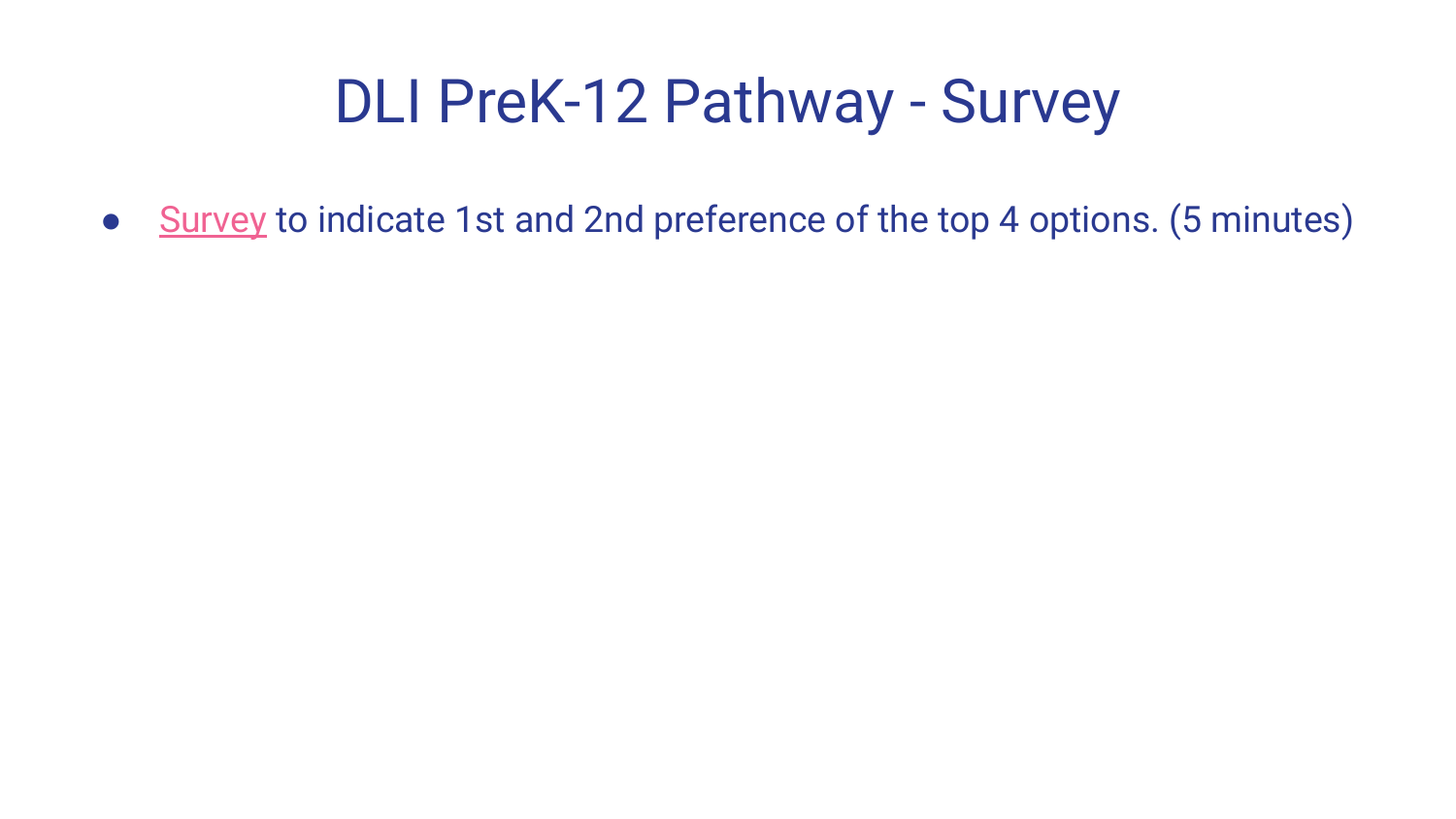# DLI PreK-12 Pathway - Survey

● [Survey](https://docs.google.com/forms/d/e/1FAIpQLSdeYV7Nq1fAug9eODssUH-1-RBscv6iq7D-RhdUsqyGYsCvlg/viewform) to indicate 1st and 2nd preference of the top 4 options. (5 minutes)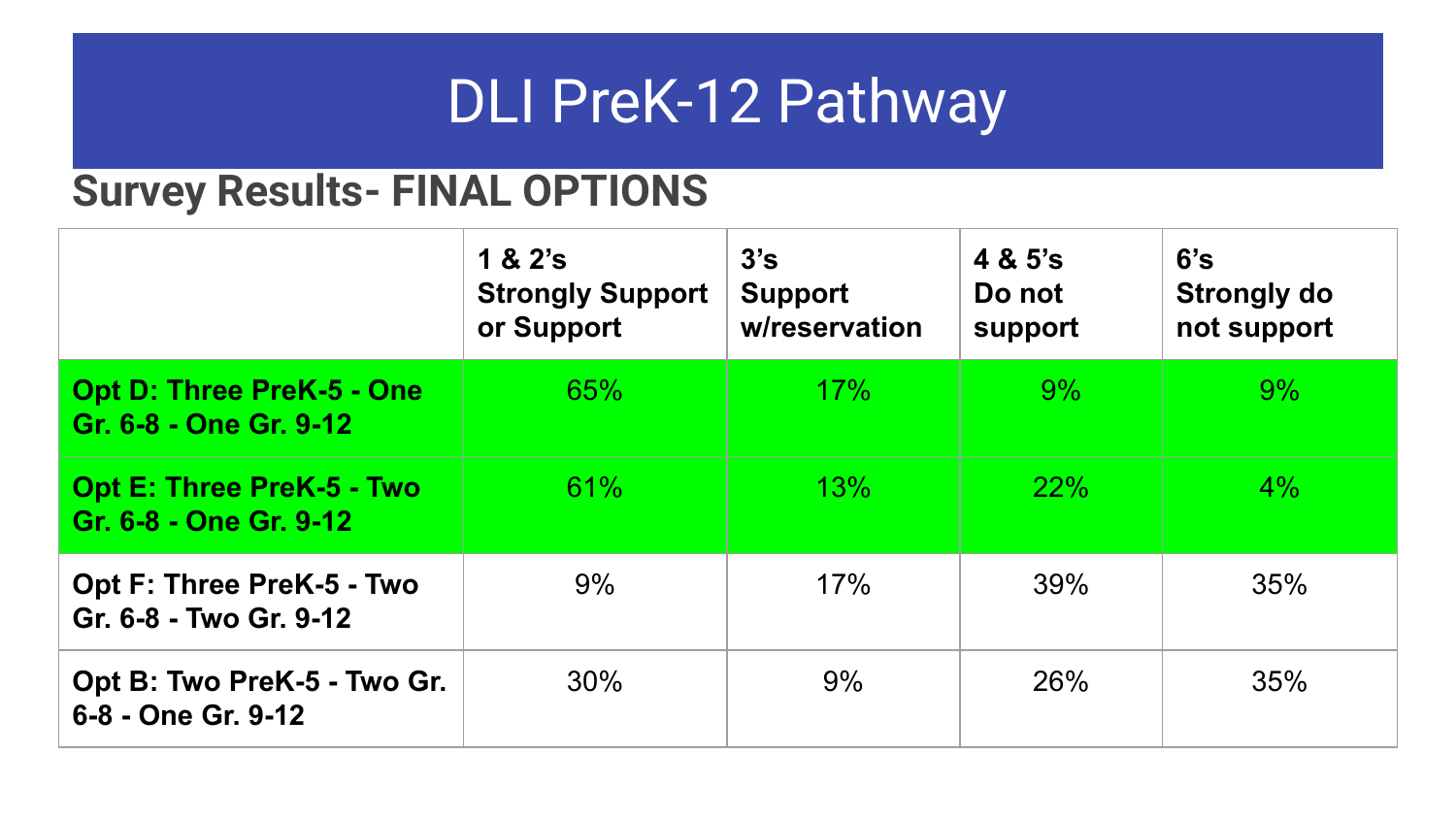#### **Survey Results- FINAL OPTIONS**

|                                                            | 1 & 2's<br><b>Strongly Support</b><br>or Support | 3's<br><b>Support</b><br>w/reservation | 4 & 5's<br>Do not<br>support | 6's<br><b>Strongly do</b><br>not support |
|------------------------------------------------------------|--------------------------------------------------|----------------------------------------|------------------------------|------------------------------------------|
| <b>Opt D: Three PreK-5 - One</b><br>Gr. 6-8 - One Gr. 9-12 | 65%                                              | 17%                                    | 9%                           | 9%                                       |
| <b>Opt E: Three PreK-5 - Two</b><br>Gr. 6-8 - One Gr. 9-12 | 61%                                              | 13%                                    | 22%                          | $4\%$                                    |
| Opt F: Three PreK-5 - Two<br>Gr. 6-8 - Two Gr. 9-12        | 9%                                               | 17%                                    | 39%                          | 35%                                      |
| Opt B: Two PreK-5 - Two Gr.<br>6-8 - One Gr. 9-12          | 30%                                              | 9%                                     | 26%                          | 35%                                      |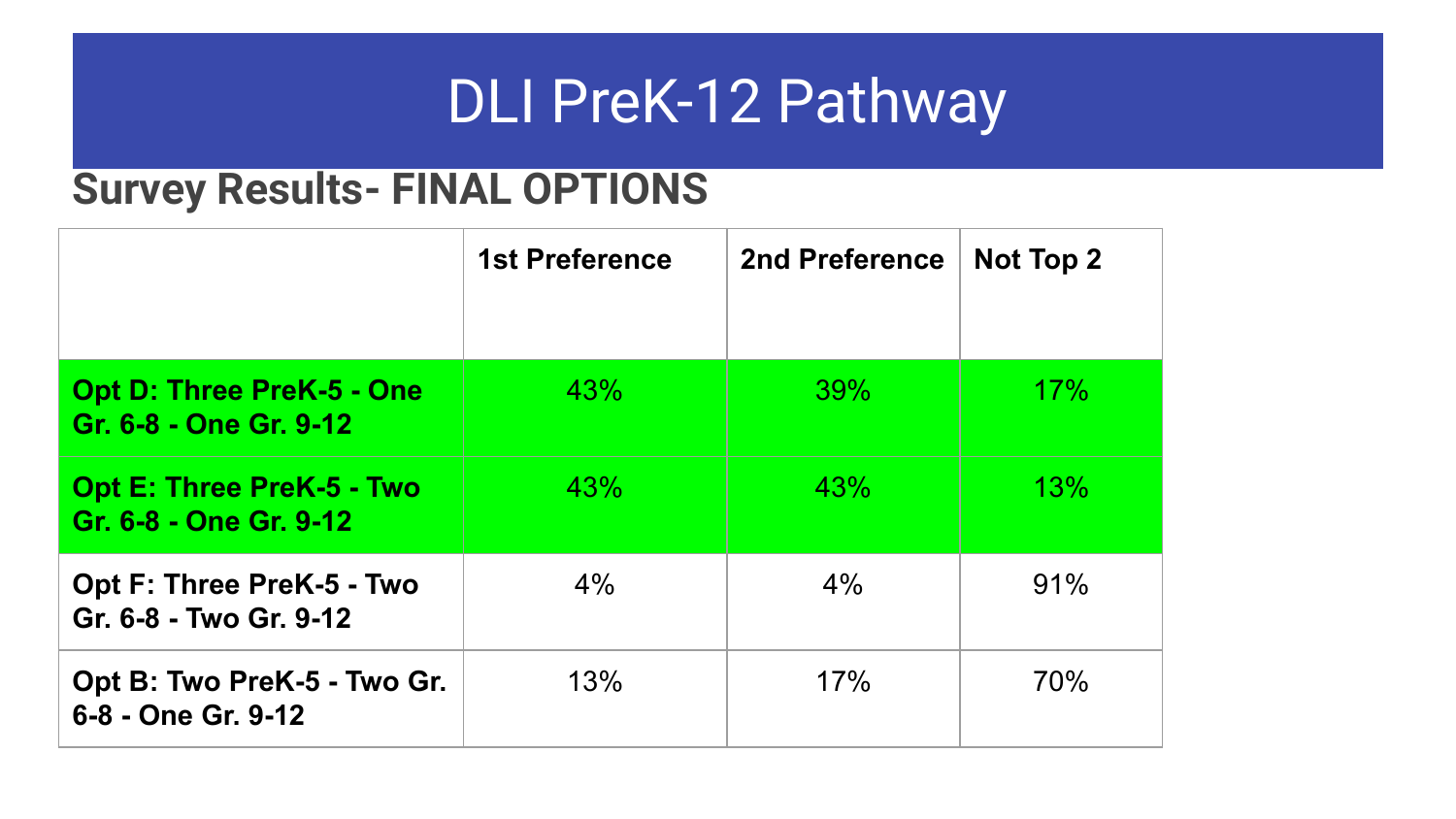#### **Survey Results- FINAL OPTIONS**

|                                                            | <b>1st Preference</b> | 2nd Preference | Not Top 2 |
|------------------------------------------------------------|-----------------------|----------------|-----------|
| <b>Opt D: Three PreK-5 - One</b><br>Gr. 6-8 - One Gr. 9-12 | 43%                   | 39%            | 17%       |
| <b>Opt E: Three PreK-5 - Two</b><br>Gr. 6-8 - One Gr. 9-12 | 43%                   | 43%            | 13%       |
| Opt F: Three PreK-5 - Two<br>Gr. 6-8 - Two Gr. 9-12        | $4\%$                 | $4\%$          | 91%       |
| Opt B: Two PreK-5 - Two Gr.<br>6-8 - One Gr. 9-12          | 13%                   | 17%            | 70%       |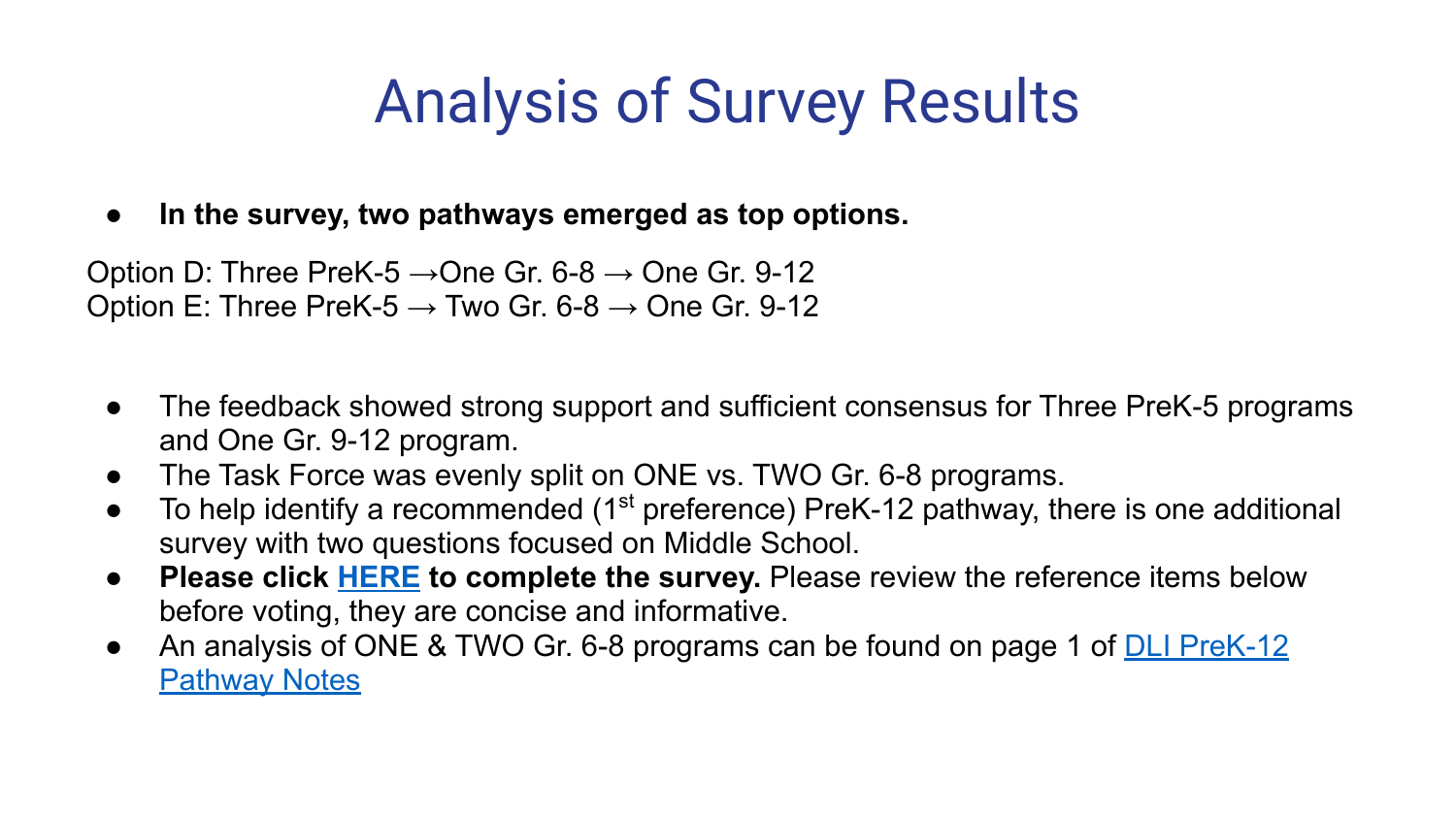# Analysis of Survey Results

**● In the survey, two pathways emerged as top options.** 

Option D: Three PreK-5  $\rightarrow$  One Gr. 6-8  $\rightarrow$  One Gr. 9-12 Option E: Three PreK-5  $\rightarrow$  Two Gr. 6-8  $\rightarrow$  One Gr. 9-12

- The feedback showed strong support and sufficient consensus for Three PreK-5 programs and One Gr. 9-12 program.
- The Task Force was evenly split on ONE vs. TWO Gr. 6-8 programs.
- $\bullet$  To help identify a recommended (1<sup>st</sup> preference) PreK-12 pathway, there is one additional survey with two questions focused on Middle School.
- **Please click [HERE](https://docs.google.com/forms/d/e/1FAIpQLSeoj_UF8_wOZVAr14EAU7VBy8wAjGpvrdAgkW5sqHkihmjo3g/viewform) to complete the survey.** Please review the reference items below before voting, they are concise and informative.
- An analysis of ONE & TWO Gr. 6-8 programs can be found on page 1 of **[DLI PreK-12](https://docs.google.com/document/d/1g8TxXt2S7QBWe9s_k9KvB88RyKzRhu9r7xCgzrQ_2FE/edit?usp=sharing)** [Pathway Notes](https://docs.google.com/document/d/1g8TxXt2S7QBWe9s_k9KvB88RyKzRhu9r7xCgzrQ_2FE/edit?usp=sharing)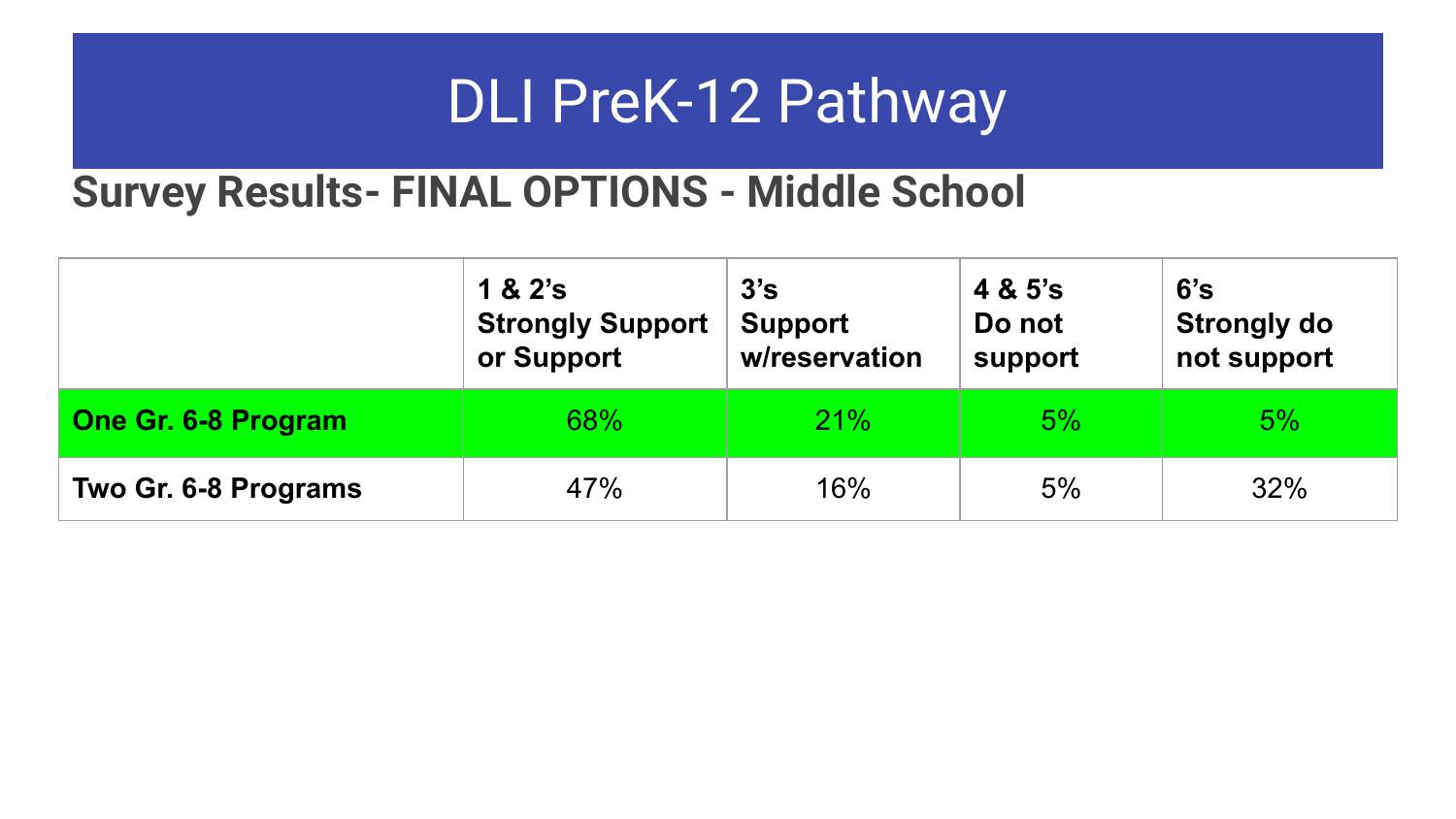#### **Survey Results- FINAL OPTIONS - Middle School**

|                      | 1 & 2's<br><b>Strongly Support</b><br>or Support | 3's<br><b>Support</b><br>w/reservation | 4 & 5's<br>Do not<br>support | 6's<br><b>Strongly do</b><br>not support |  |
|----------------------|--------------------------------------------------|----------------------------------------|------------------------------|------------------------------------------|--|
| One Gr. 6-8 Program  | 68%                                              | 21%                                    | 5%                           | 5%                                       |  |
| Two Gr. 6-8 Programs | 47%                                              | 16%                                    | 5%                           | 32%                                      |  |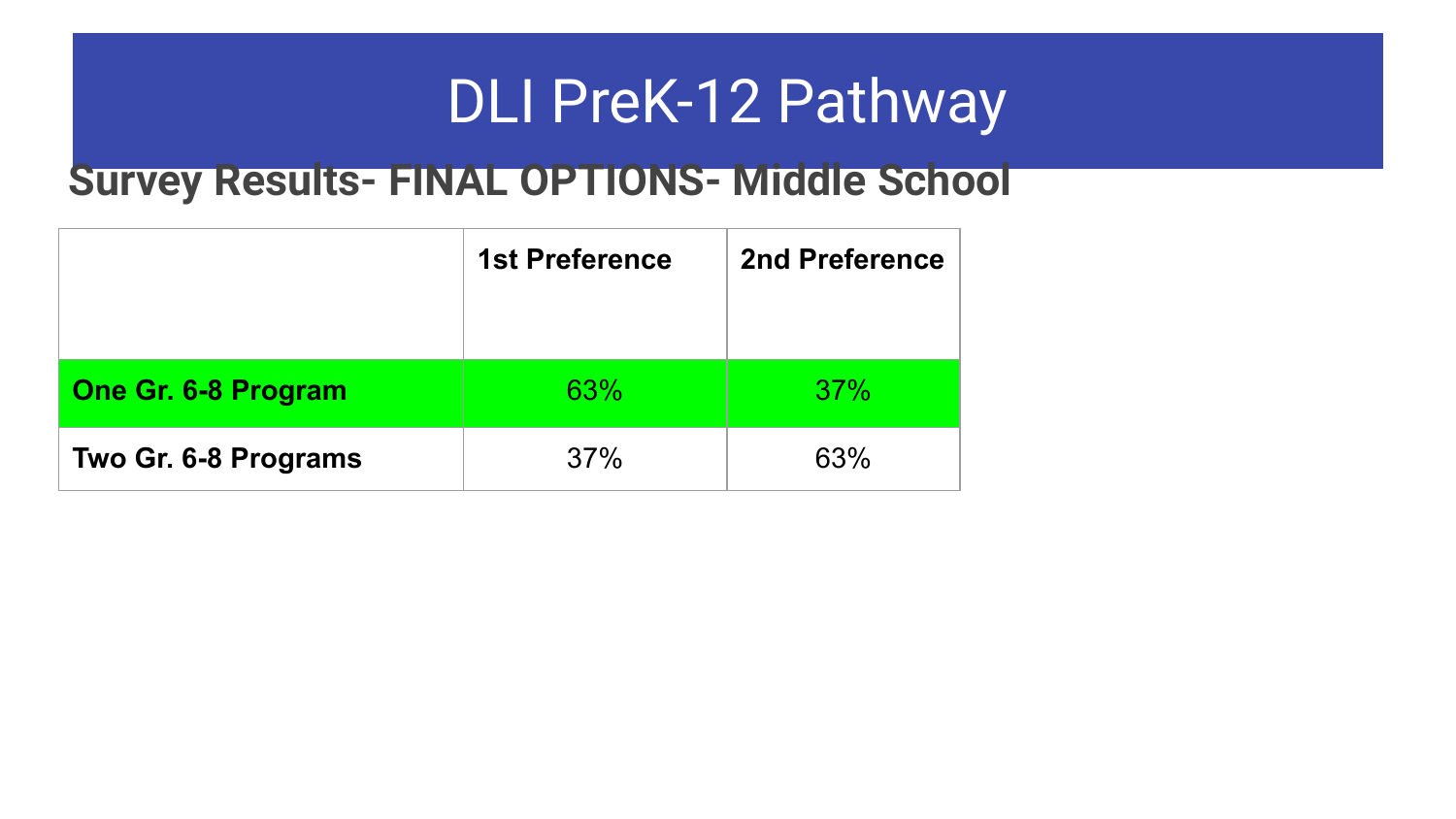#### **Survey Results- FINAL OPTIONS- Middle School**

|                            | <b>1st Preference</b> | 2nd Preference |
|----------------------------|-----------------------|----------------|
| <b>One Gr. 6-8 Program</b> | 63%                   | 37%            |
| Two Gr. 6-8 Programs       | 37%                   | 63%            |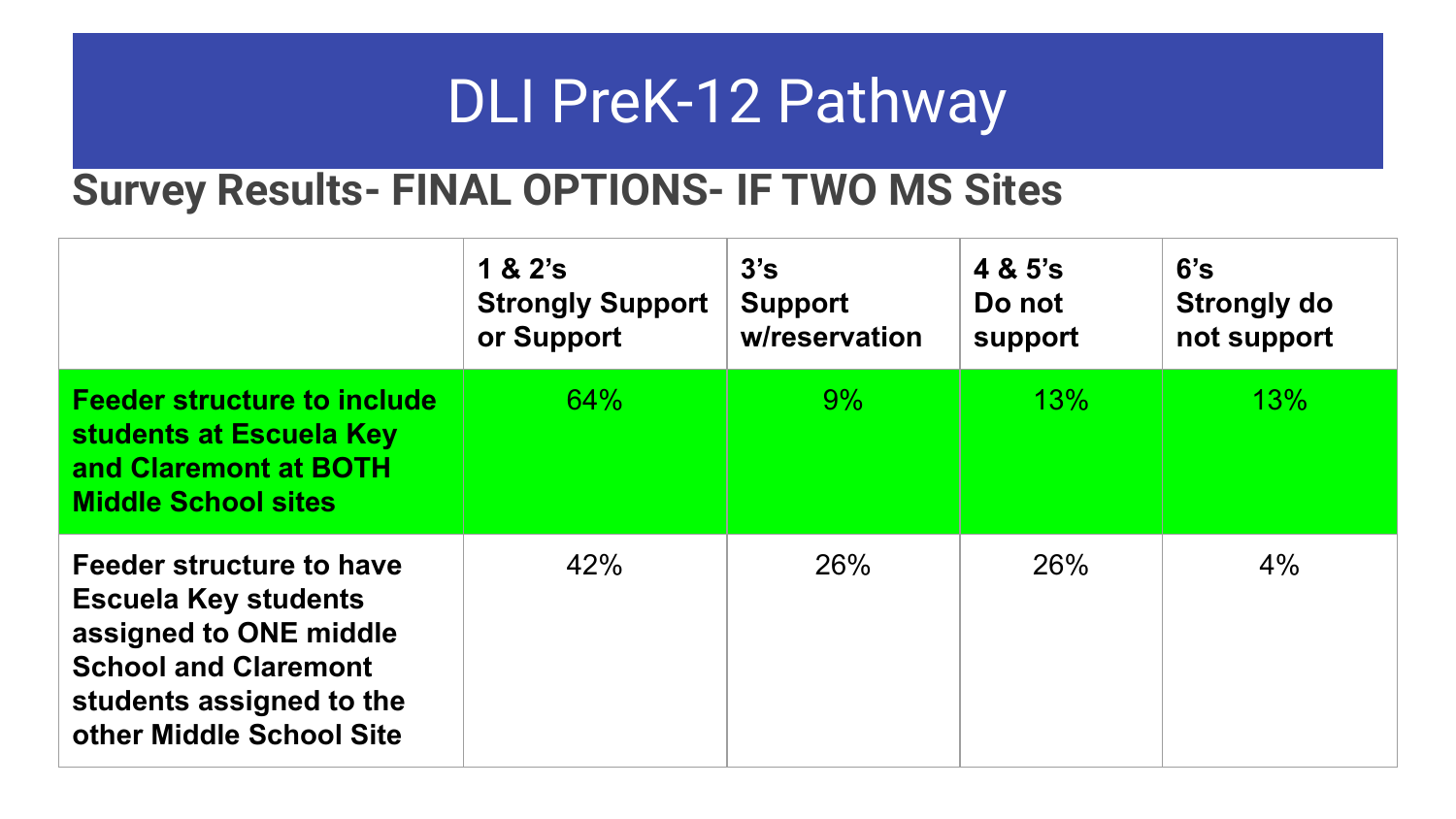#### **Survey Results- FINAL OPTIONS- IF TWO MS Sites**

|                                                                                                                                                                          | 1 & 2's<br><b>Strongly Support</b><br>or Support | 3's<br><b>Support</b><br>w/reservation | 4 & 5's<br>Do not<br>support | 6's<br>Strongly do<br>not support |
|--------------------------------------------------------------------------------------------------------------------------------------------------------------------------|--------------------------------------------------|----------------------------------------|------------------------------|-----------------------------------|
| <b>Feeder structure to include</b><br>students at Escuela Key<br>and Claremont at BOTH<br><b>Middle School sites</b>                                                     | 64%                                              | $9\%$                                  | 13%                          | 13%                               |
| Feeder structure to have<br><b>Escuela Key students</b><br>assigned to ONE middle<br><b>School and Claremont</b><br>students assigned to the<br>other Middle School Site | 42%                                              | 26%                                    | 26%                          | 4%                                |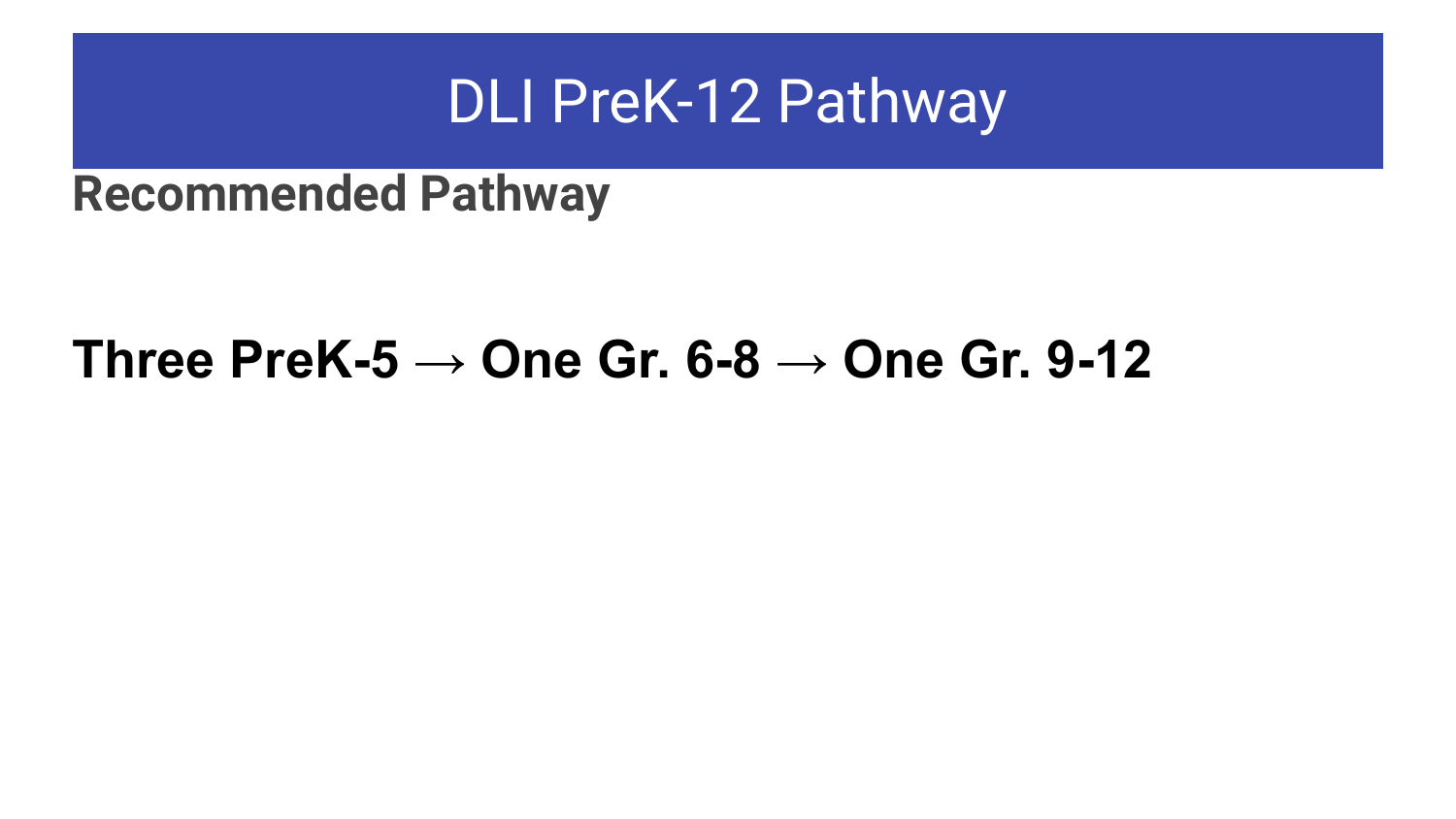#### **Recommended Pathway**

#### **Three PreK-5 → One Gr. 6-8 → One Gr. 9-12**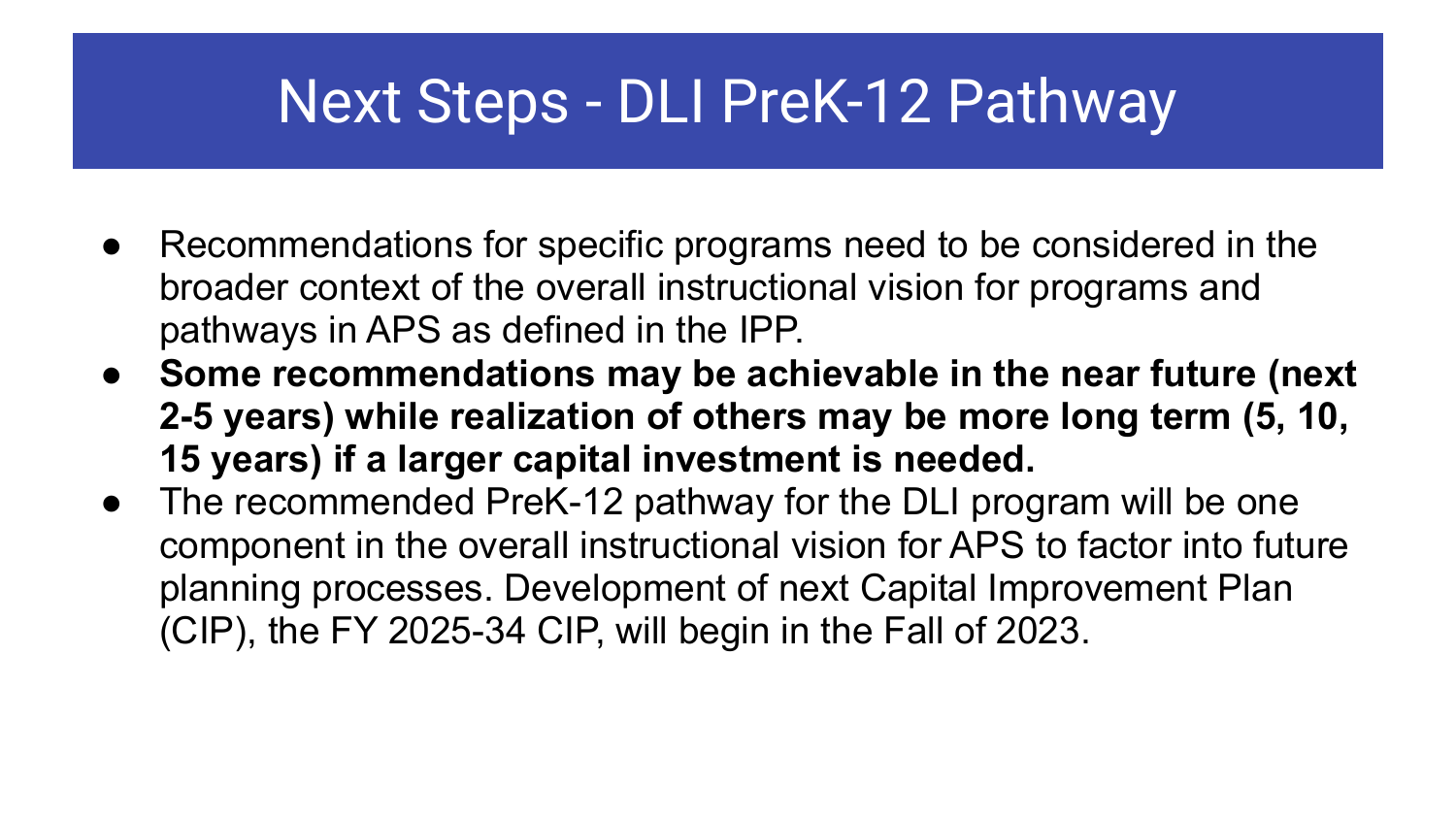### Next Steps - DLI PreK-12 Pathway

- Recommendations for specific programs need to be considered in the broader context of the overall instructional vision for programs and pathways in APS as defined in the IPP.
- **● Some recommendations may be achievable in the near future (next 2-5 years) while realization of others may be more long term (5, 10, 15 years) if a larger capital investment is needed.**
- The recommended PreK-12 pathway for the DLI program will be one component in the overall instructional vision for APS to factor into future planning processes. Development of next Capital Improvement Plan (CIP), the FY 2025-34 CIP, will begin in the Fall of 2023.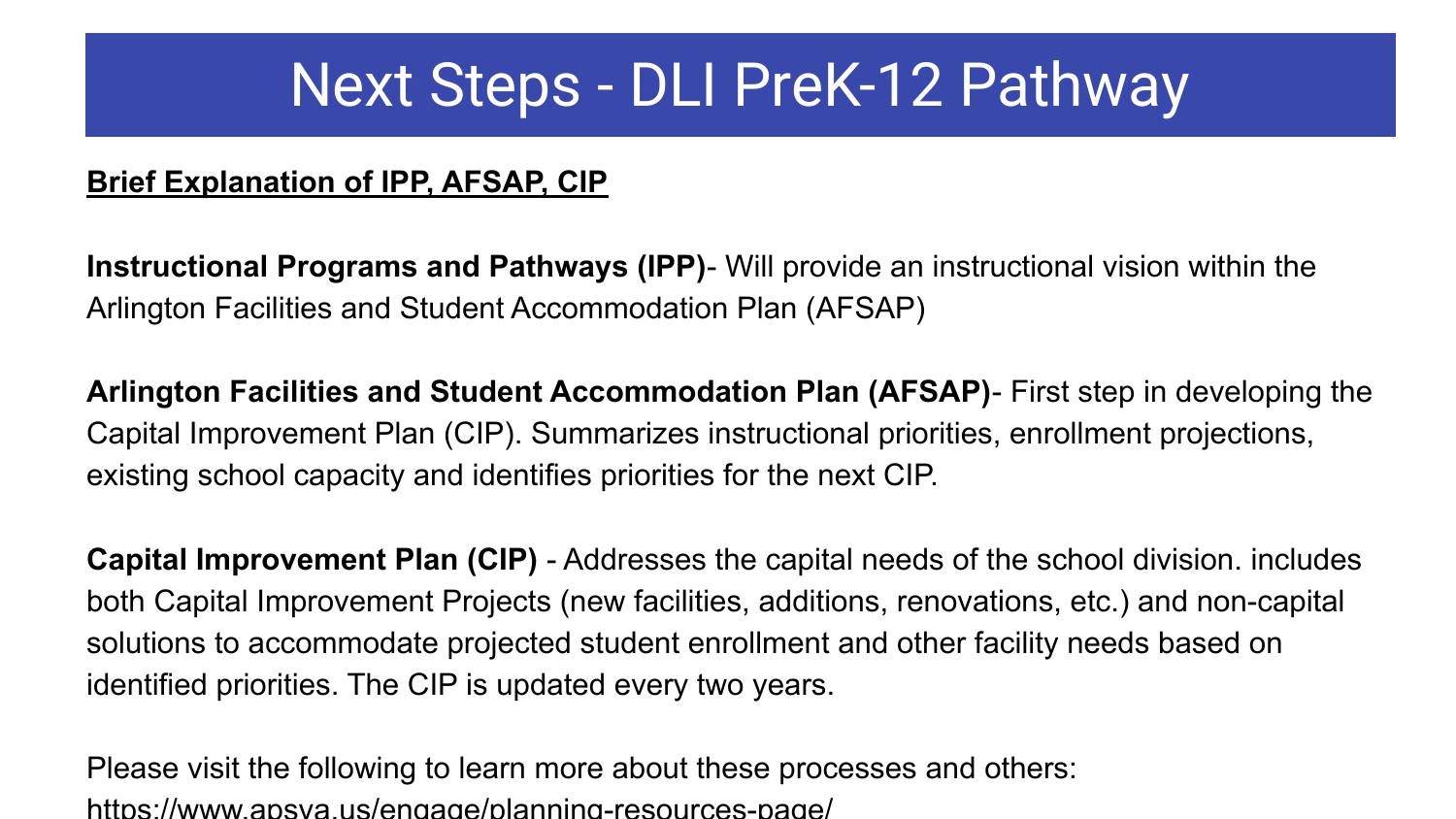### Next Steps - DLI PreK-12 Pathway

#### **Brief Explanation of IPP, AFSAP, CIP**

**Instructional Programs and Pathways (IPP)**- Will provide an instructional vision within the Arlington Facilities and Student Accommodation Plan (AFSAP)

**Arlington Facilities and Student Accommodation Plan (AFSAP)**- First step in developing the Capital Improvement Plan (CIP). Summarizes instructional priorities, enrollment projections, existing school capacity and identifies priorities for the next CIP.

**Capital Improvement Plan (CIP)** - Addresses the capital needs of the school division. includes both Capital Improvement Projects (new facilities, additions, renovations, etc.) and non-capital solutions to accommodate projected student enrollment and other facility needs based on identified priorities. The CIP is updated every two years.

Please visit the following to learn more about these processes and others: https://www.apsva.us/engage/planning-resources-page/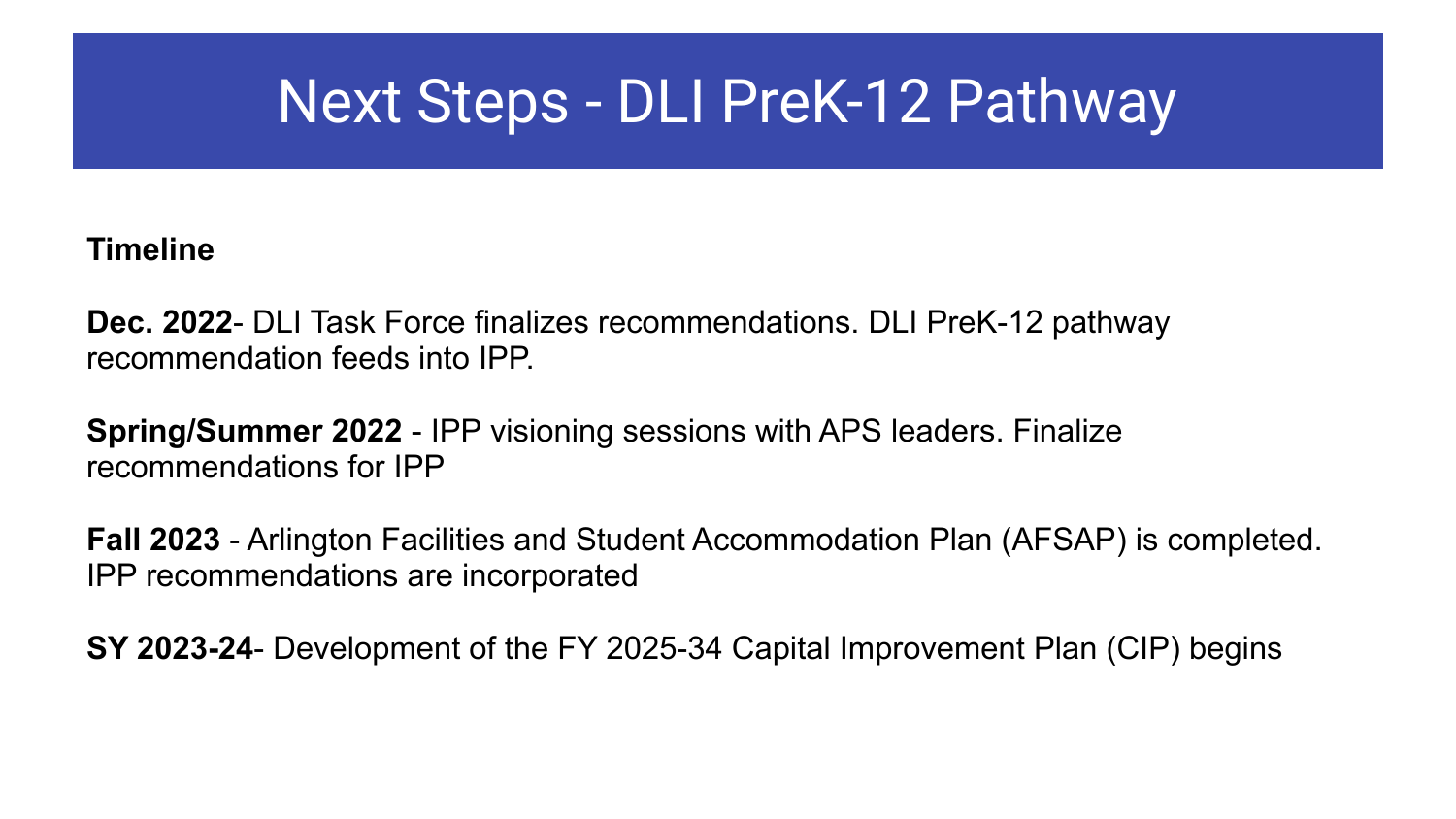### Next Steps - DLI PreK-12 Pathway

#### **Timeline**

**Dec. 2022**- DLI Task Force finalizes recommendations. DLI PreK-12 pathway recommendation feeds into IPP.

**Spring/Summer 2022** - IPP visioning sessions with APS leaders. Finalize recommendations for IPP

**Fall 2023** - Arlington Facilities and Student Accommodation Plan (AFSAP) is completed. IPP recommendations are incorporated

**SY 2023-24**- Development of the FY 2025-34 Capital Improvement Plan (CIP) begins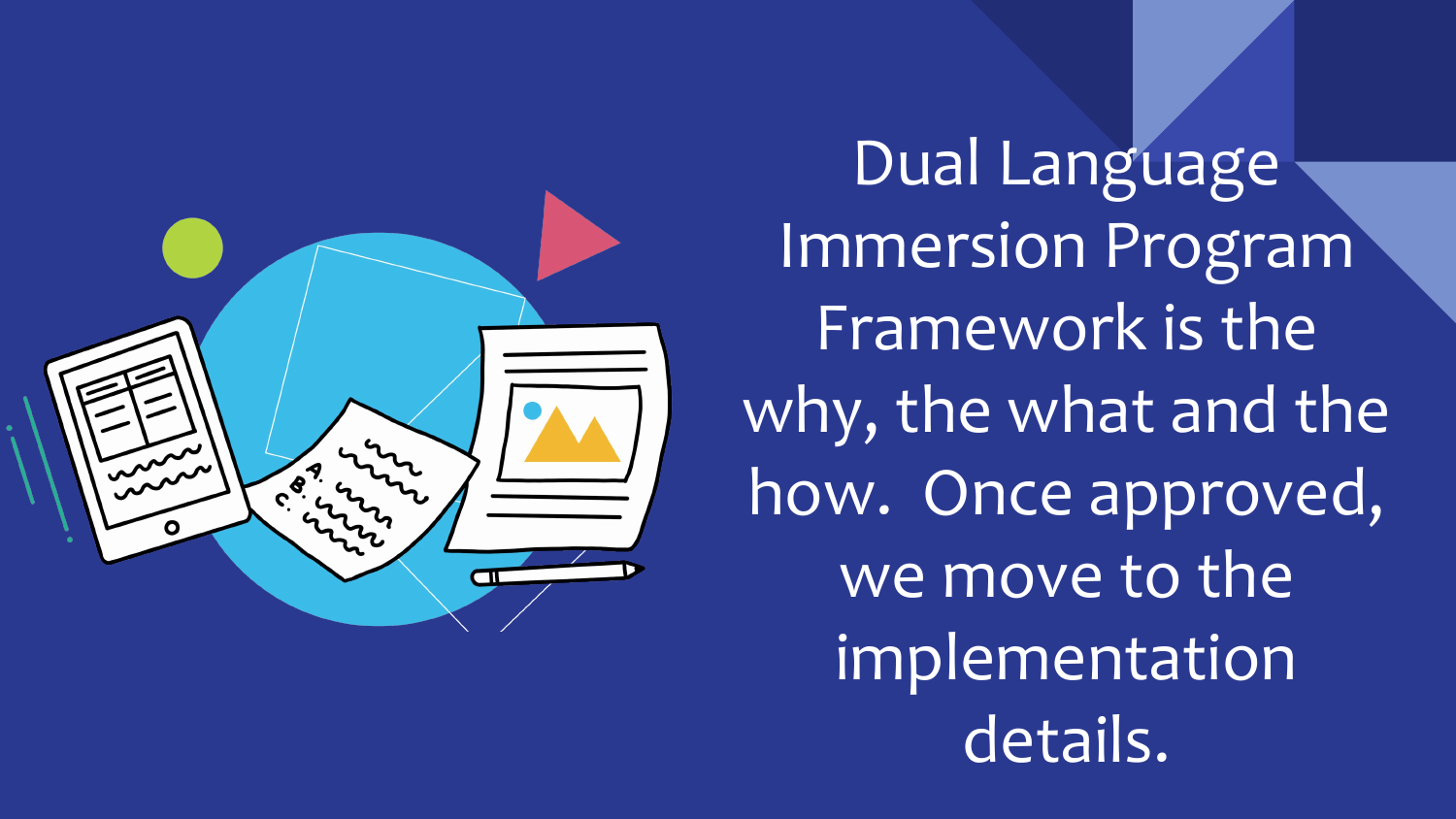

Dual Language Immersion Program Framework is the why, the what and the how. Once approved, we move to the implementation details.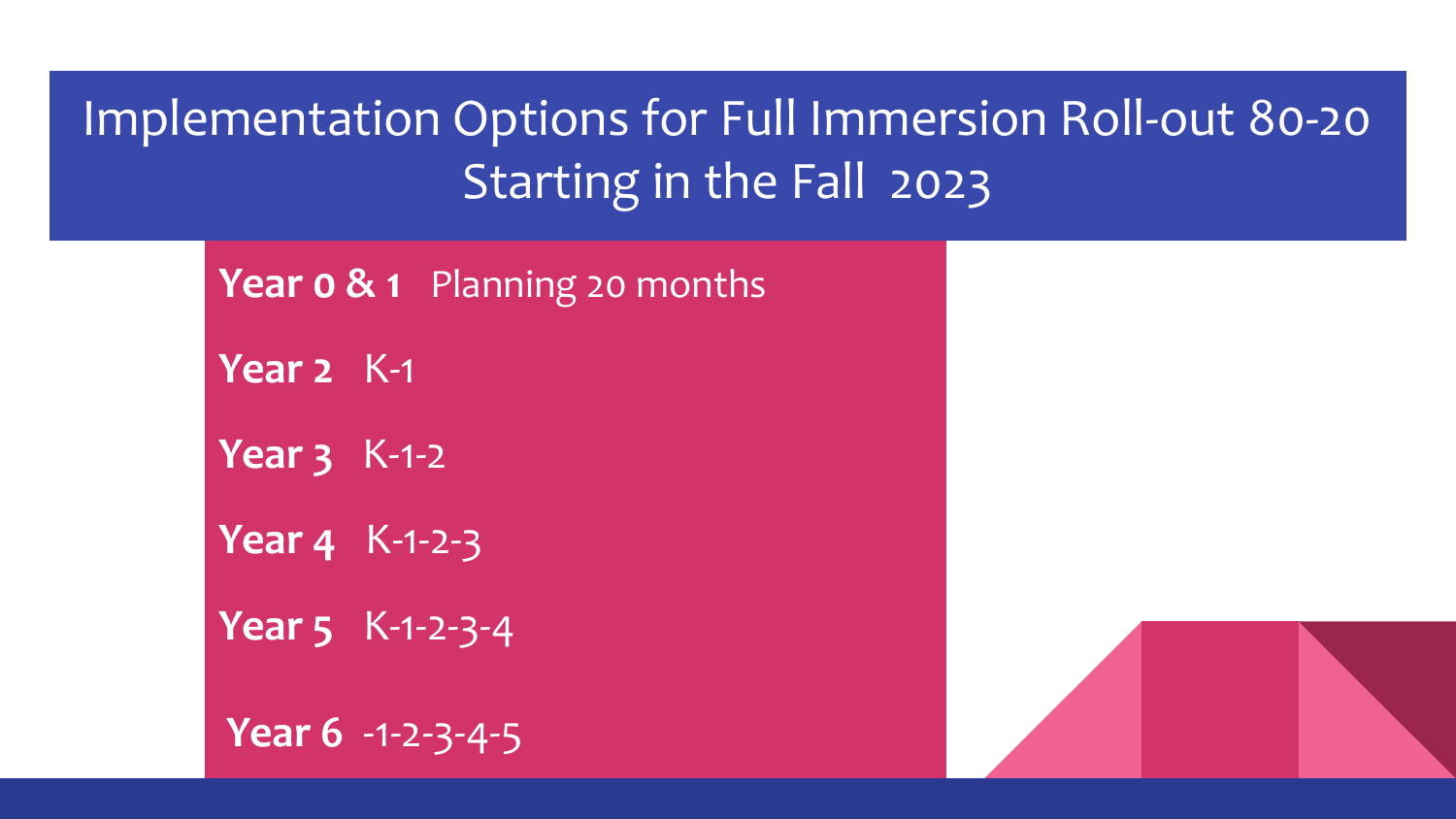#### Implementation Options for Full Immersion Roll-out 80-20 Starting in the Fall 2023

| <b>Year o &amp; 1</b> Planning 20 months |
|------------------------------------------|
| Year 2 K-1                               |
| Year $3K-1-2$                            |
| Year 4 K-1-2-3                           |
| Year 5 K-1-2-3-4                         |
| <b>Year 6</b> $-1-2-3-4-5$               |

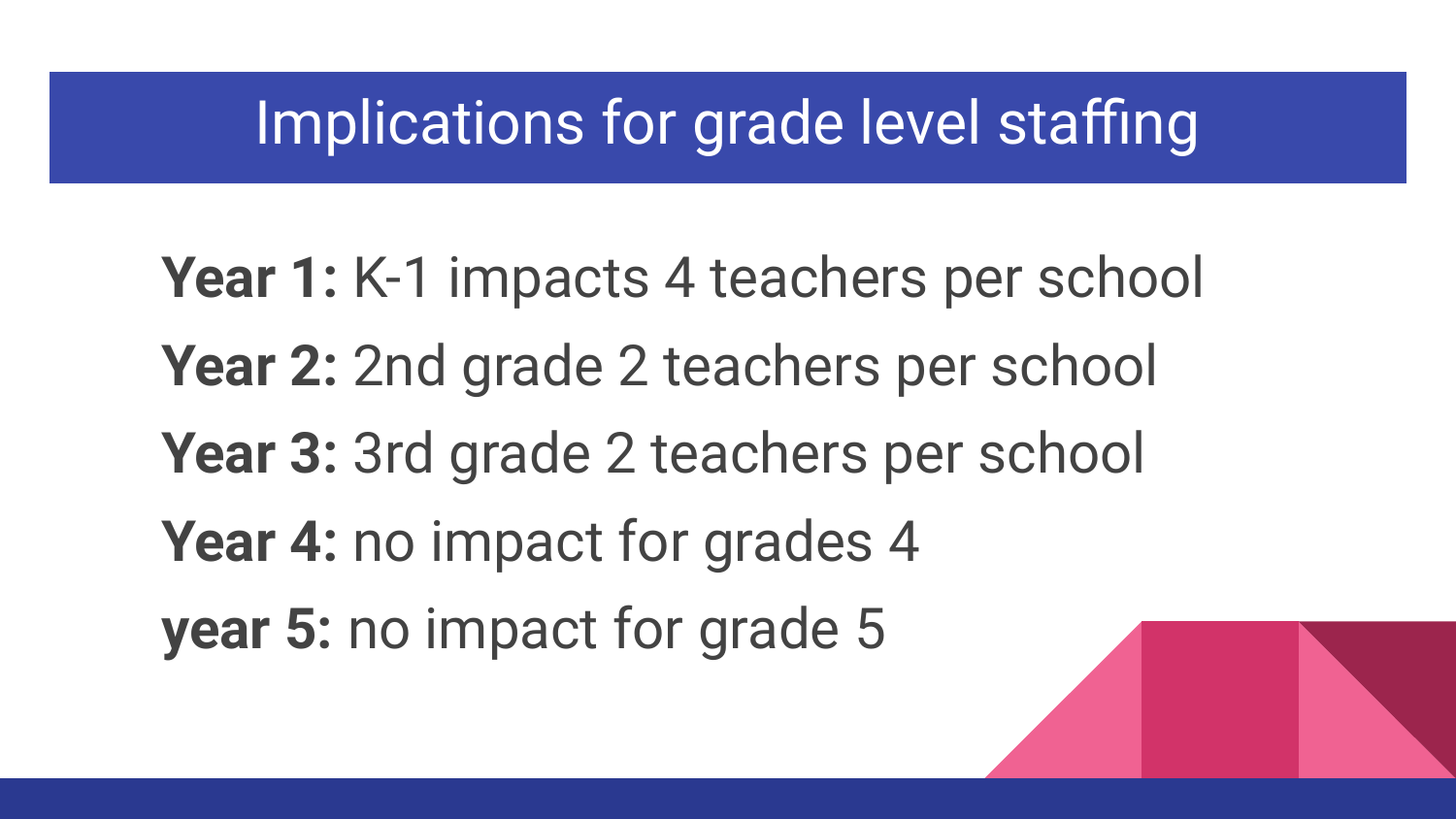#### Implications for grade level staffing

Year 1: K-1 impacts 4 teachers per school **Year 2:** 2nd grade 2 teachers per school Year 3: 3rd grade 2 teachers per school **Year 4:** no impact for grades 4 **year 5:** no impact for grade 5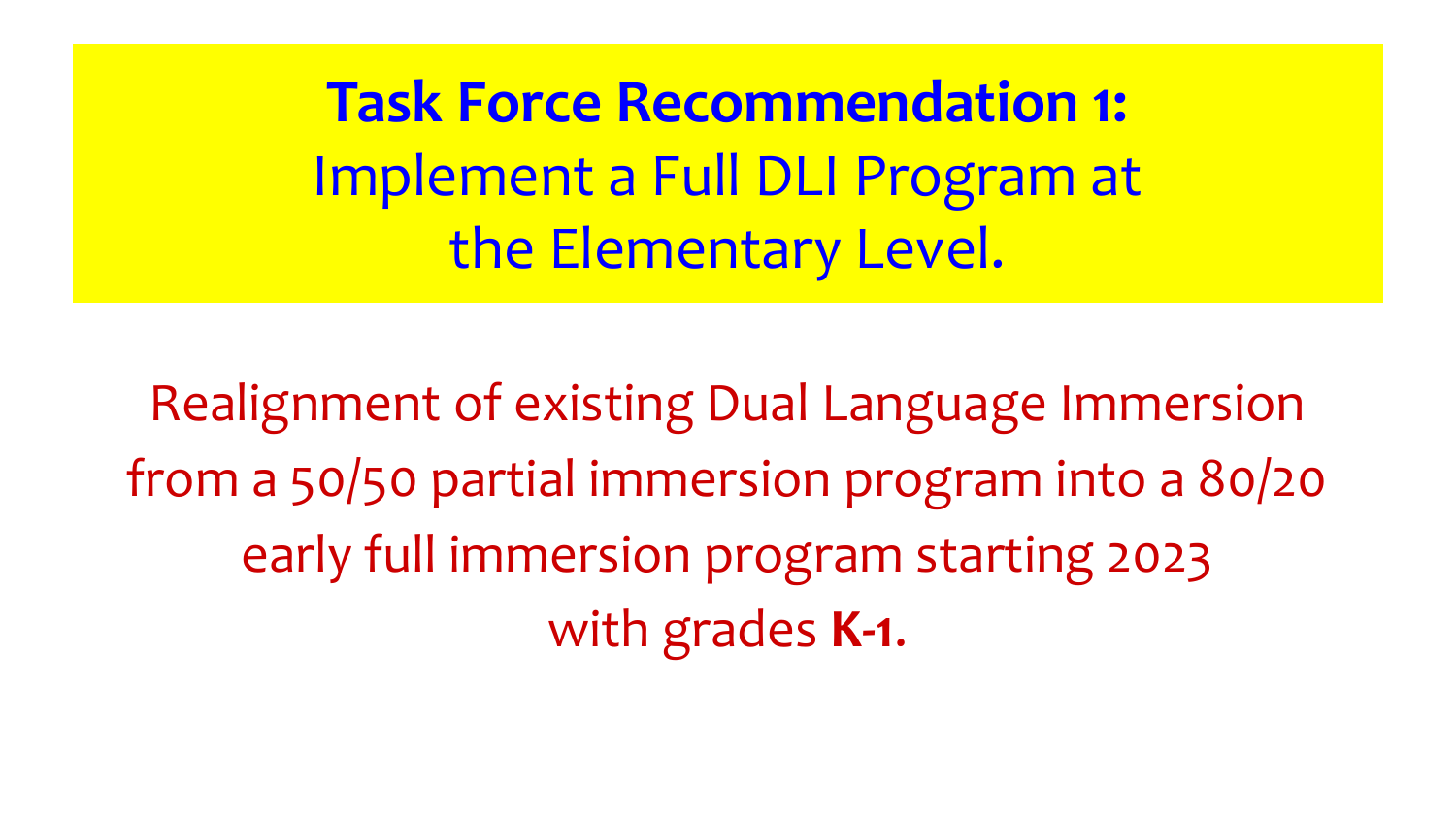**Task Force Recommendation 1:** Implement a Full DLI Program at the Elementary Level.

Realignment of existing Dual Language Immersion from a 50/50 partial immersion program into a 80/20 early full immersion program starting 2023 with grades **K-1**.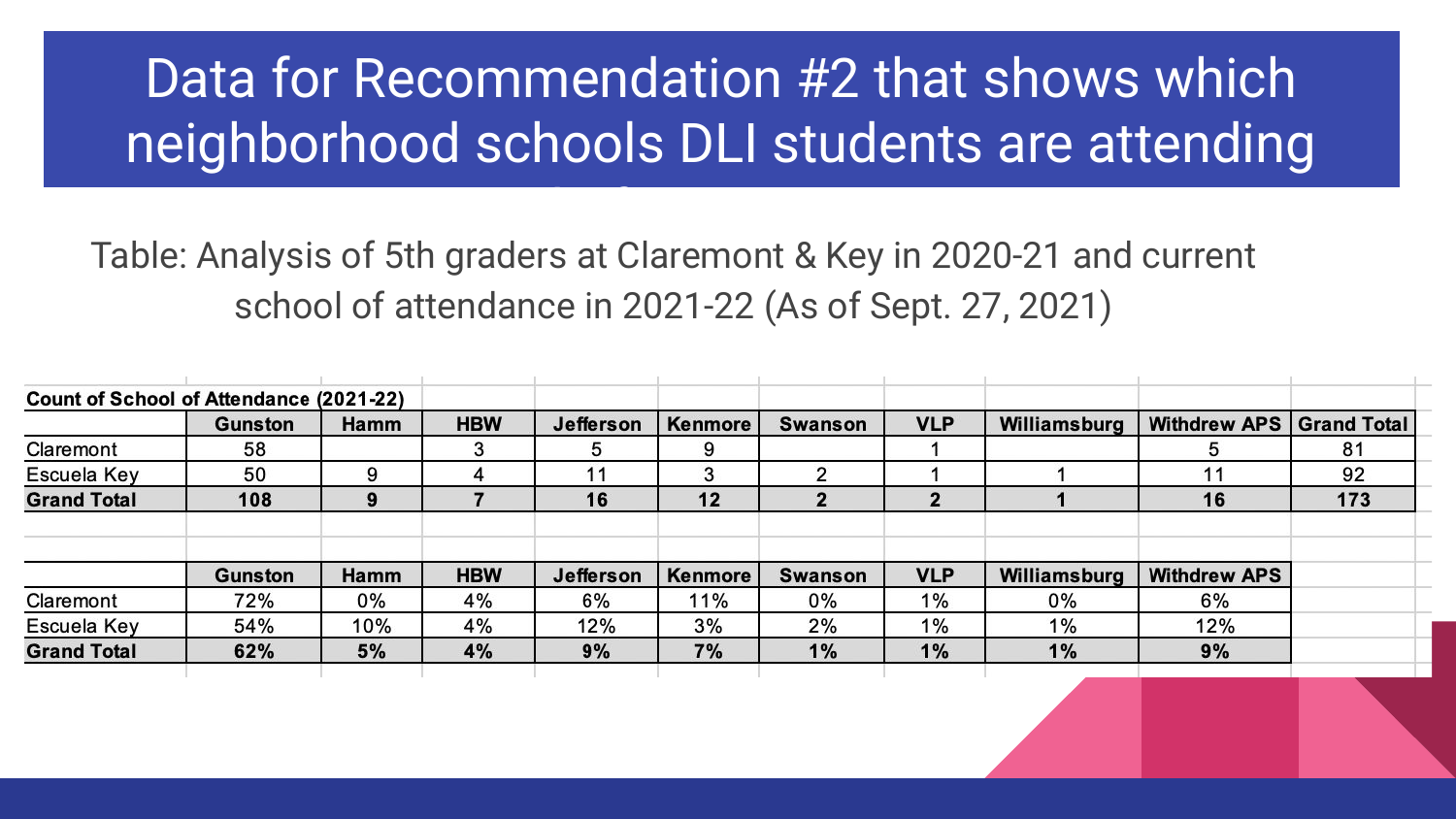## Data for Recommendation #2 that shows which neighborhood schools DLI students are attending

instead of going to Gunston Table: Analysis of 5th graders at Claremont & Key in 2020-21 and current school of attendance in 2021-22 (As of Sept. 27, 2021)

| Count of School of Attendance (2021-22) |                |      |            |                  |                |                |            |              |                          |     |
|-----------------------------------------|----------------|------|------------|------------------|----------------|----------------|------------|--------------|--------------------------|-----|
|                                         | <b>Gunston</b> | Hamm | <b>HBW</b> | <b>Jefferson</b> | <b>Kenmore</b> | <b>Swanson</b> | <b>VLP</b> | Williamsburg | Withdrew APS Grand Total |     |
| Claremont                               | 58             |      | 3          | 5                | 9              |                |            |              |                          | 81  |
| Escuela Key                             | 50             | 9    | 4          | 11               | 3              | ◠              |            |              |                          | 92  |
| <b>Grand Total</b>                      | 108            | 9    |            | 16               | 12             | 2              | 2          |              | 16                       | 173 |
|                                         |                |      |            |                  |                |                |            |              |                          |     |
|                                         | Gunston        | Hamm | <b>HBW</b> | Jefferson        | Kenmore        | Swanson        | <b>VLP</b> | Williamsburg | <b>Withdrew APS</b>      |     |
| Claremont                               | 72%            | 0%   | 4%         | 6%               | 11%            | 0%             | 1%         | 0%           | 6%                       |     |
| Escuela Key                             | 54%            | 10%  | 4%         | 12%              | 3%             | 2%             | $1\%$      | $1\%$        | 12%                      |     |
| <b>Grand Total</b>                      | 62%            | 5%   | 4%         | 9%               | 7%             | 1%             | 1%         | 1%           | 9%                       |     |
|                                         |                |      |            |                  |                |                |            |              |                          |     |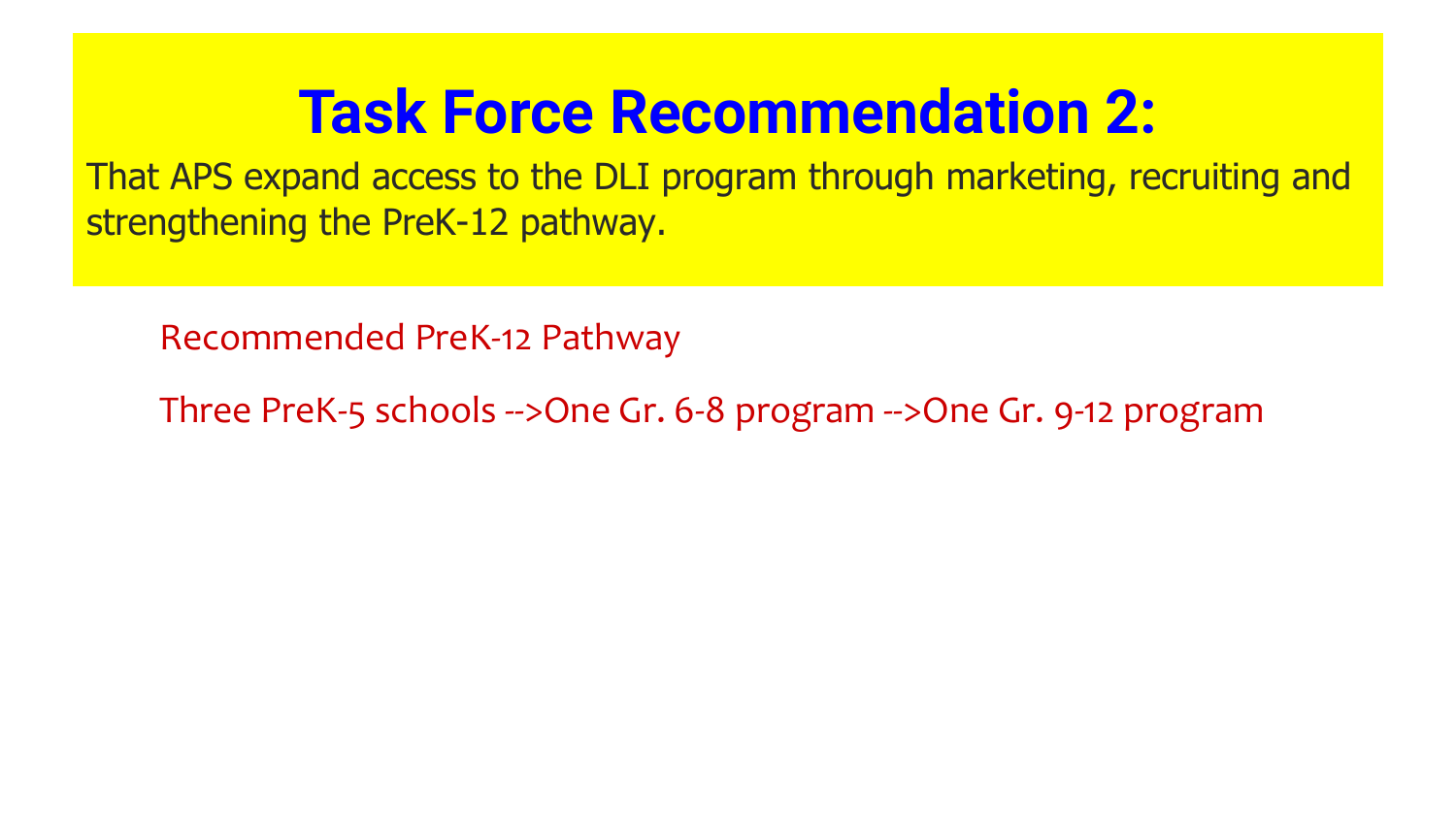# **Task Force Recommendation 2:**

That APS expand access to the DLI program through marketing, recruiting and strengthening the PreK-12 pathway.

Recommended PreK-12 Pathway

Three PreK-5 schools -->One Gr. 6-8 program -->One Gr. 9-12 program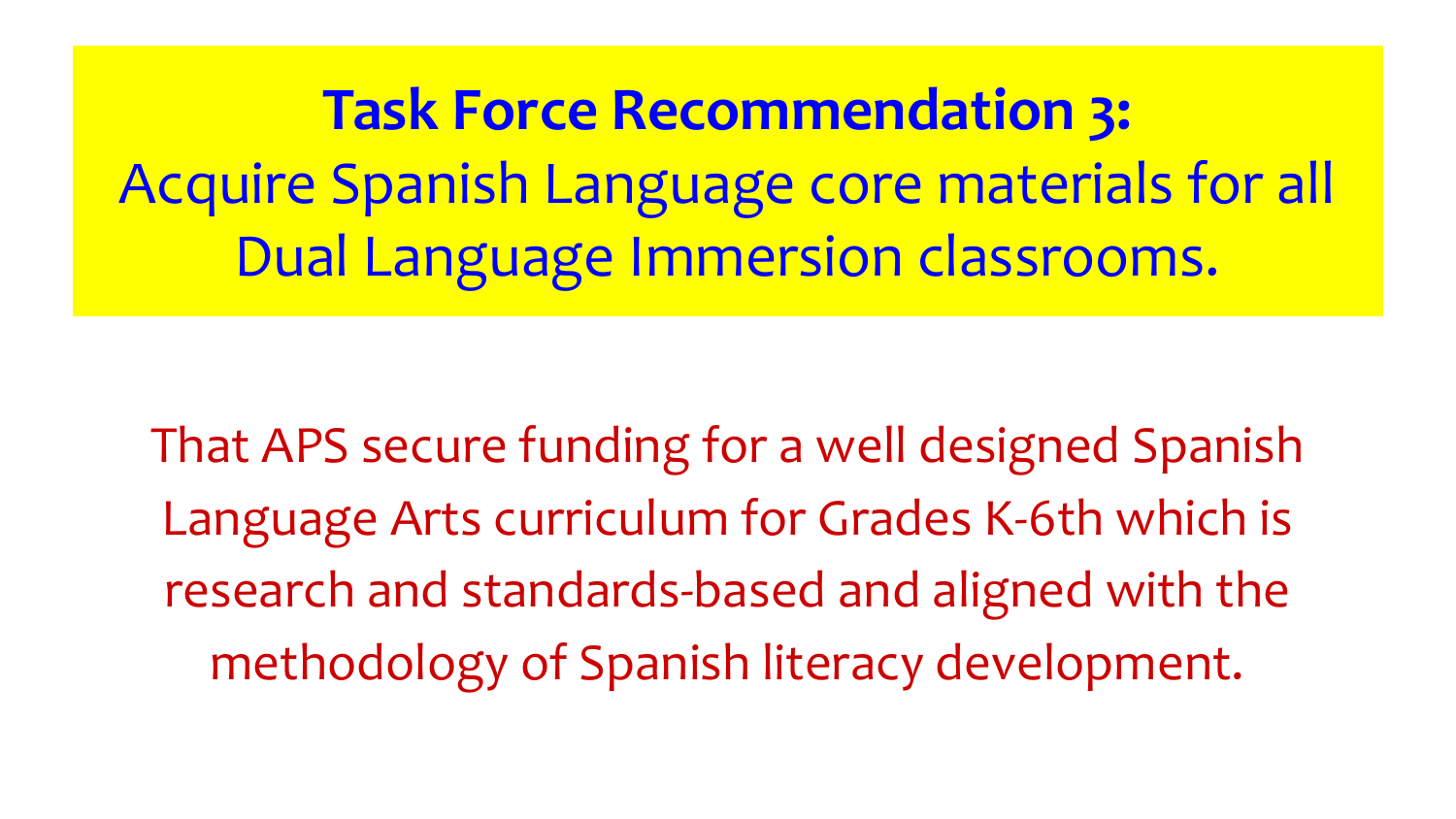**Task Force Recommendation 3:**  Acquire Spanish Language core materials for all Dual Language Immersion classrooms.

That APS secure funding for a well designed Spanish Language Arts curriculum for Grades K-6th which is research and standards-based and aligned with the methodology of Spanish literacy development.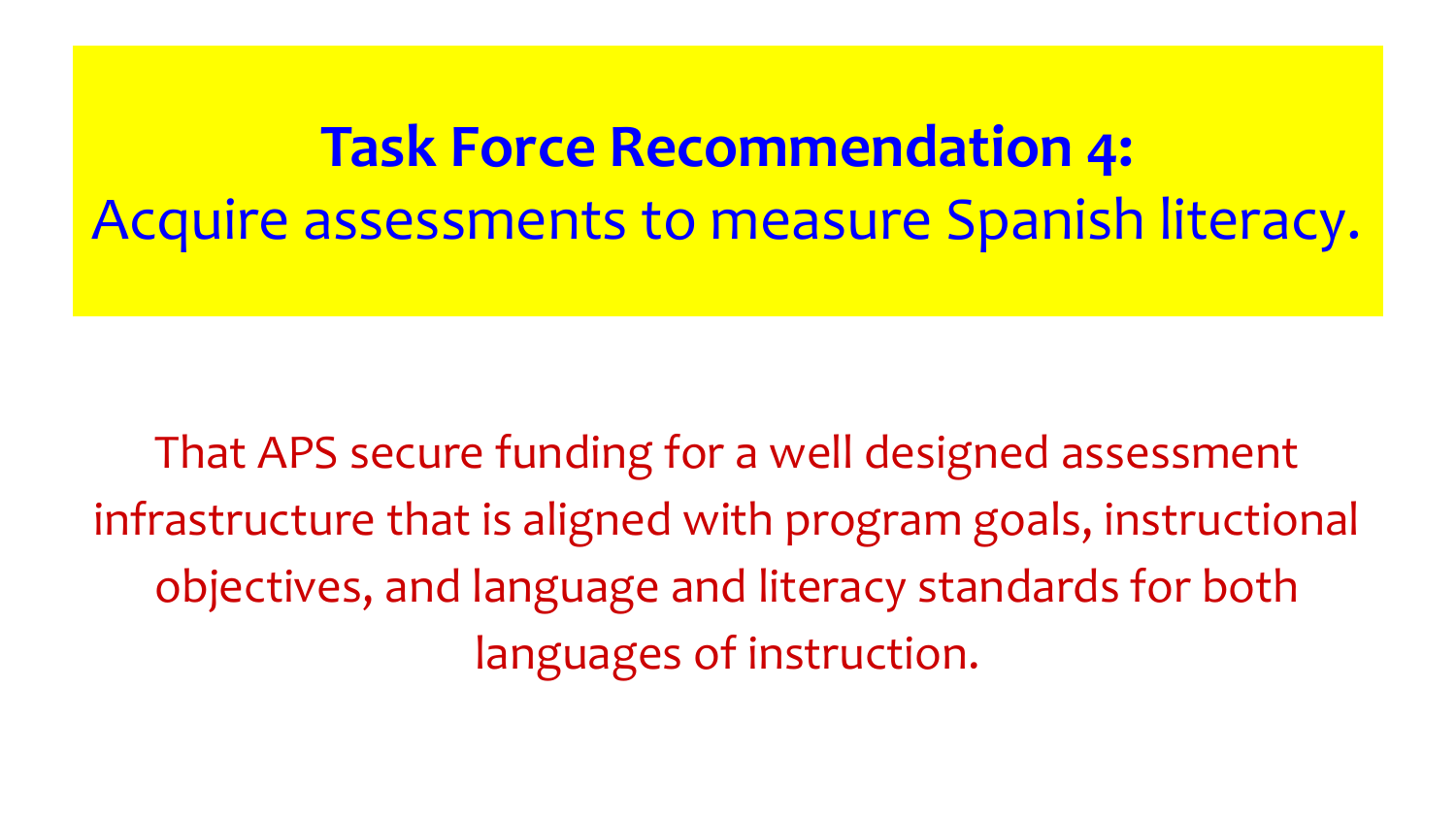# **Task Force Recommendation 4:**  Acquire assessments to measure Spanish literacy.

That APS secure funding for a well designed assessment infrastructure that is aligned with program goals, instructional objectives, and language and literacy standards for both languages of instruction.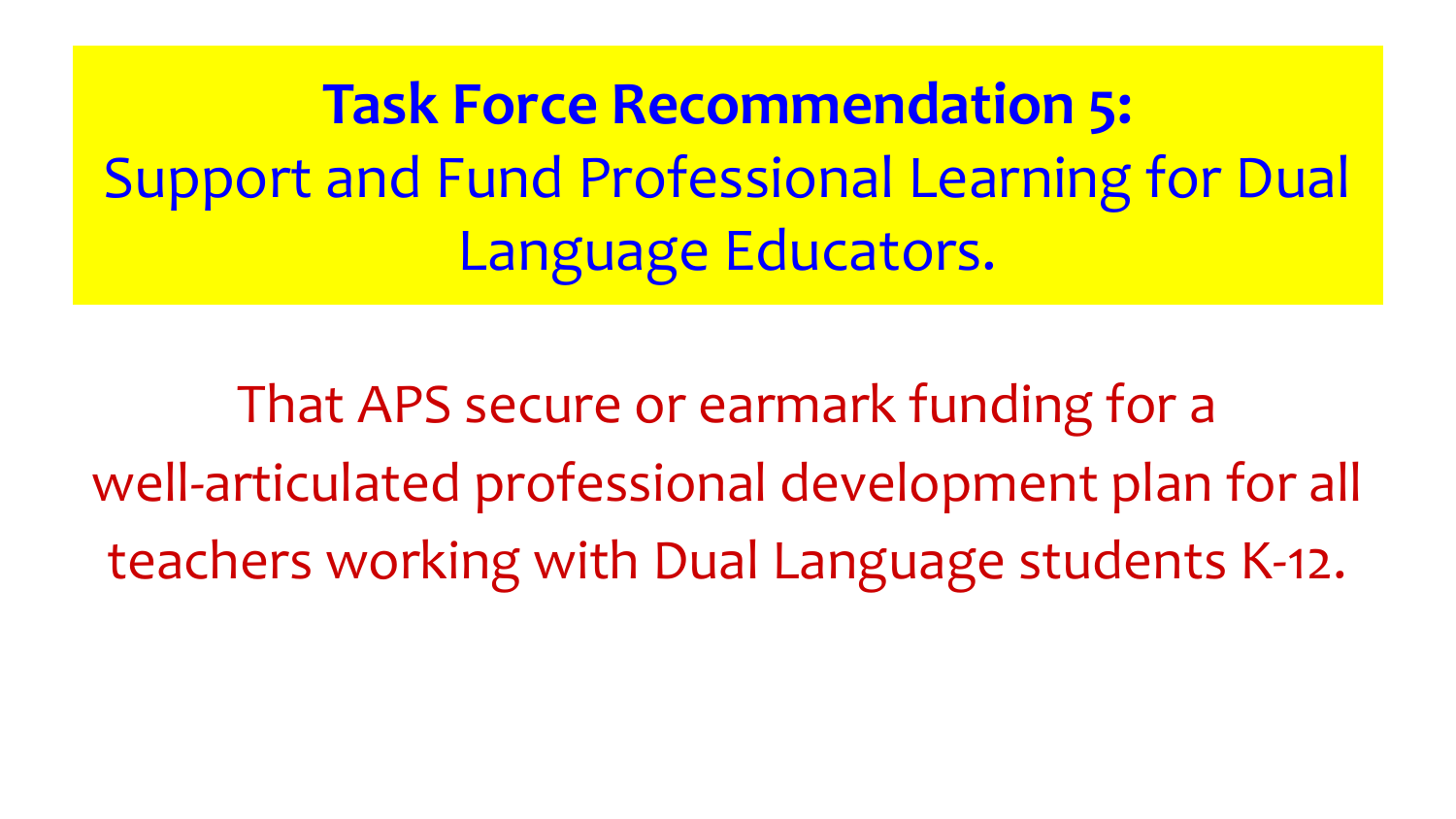**Task Force Recommendation 5:** Support and Fund Professional Learning for Dual Language Educators.

That APS secure or earmark funding for a well-articulated professional development plan for all teachers working with Dual Language students K-12.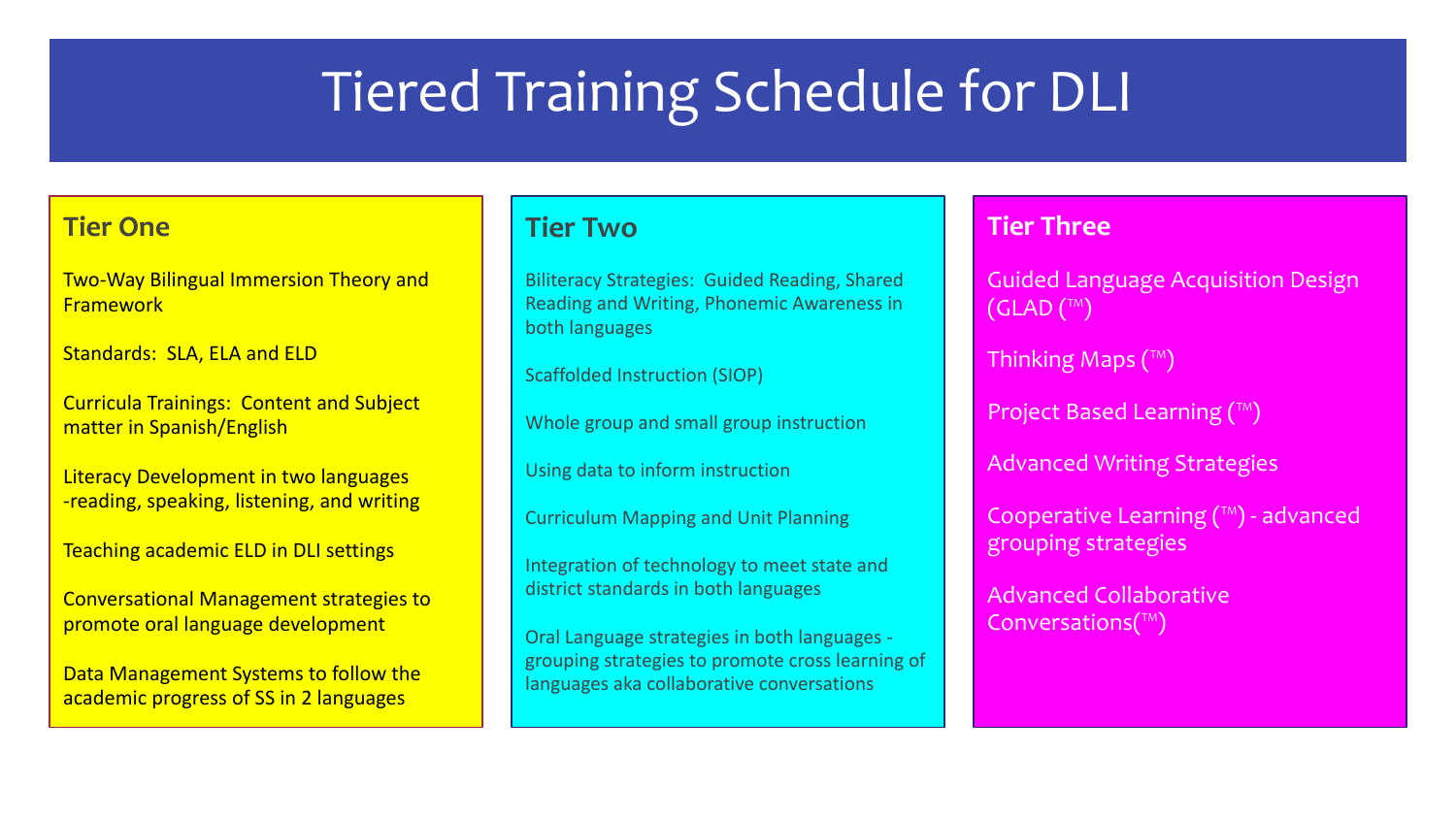### Tiered Training Schedule for DLI

#### **Tier One**

Two-Way Bilingual Immersion Theory and Framework

Standards: SLA, ELA and ELD

Curricula Trainings: Content and Subject matter in Spanish/English

Literacy Development in two languages -reading, speaking, listening, and writing

Teaching academic ELD in DLI settings

Conversational Management strategies to promote oral language development

Data Management Systems to follow the academic progress of SS in 2 languages

#### **Tier Two**

Biliteracy Strategies: Guided Reading, Shared Reading and Writing, Phonemic Awareness in both languages

Scaffolded Instruction (SIOP)

Whole group and small group instruction

Using data to inform instruction

Curriculum Mapping and Unit Planning

Integration of technology to meet state and district standards in both languages

Oral Language strategies in both languages grouping strategies to promote cross learning of languages aka collaborative conversations

#### **Tier Three**

Guided Language Acquisition Design  $(CLAD(T<sup>TM</sup>))$ 

Thinking Maps (™)

Project Based Learning (™)

Advanced Writing Strategies

Cooperative Learning (™) - advanced grouping strategies

Advanced Collaborative Conversations $(\mathbb{M})$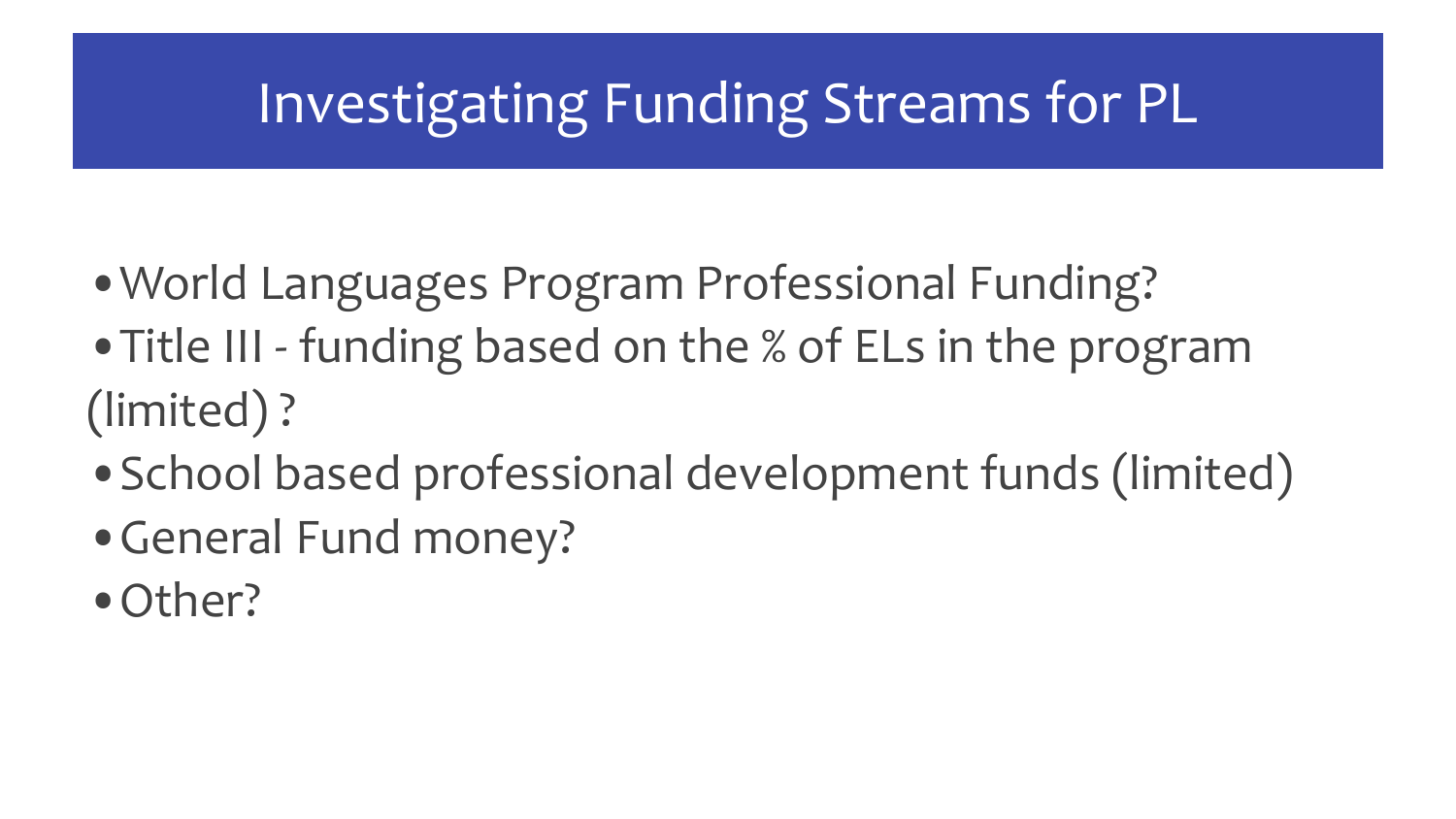### Investigating Funding Streams for PL

- ❖ •World Languages Program Professional Funding?
- ❖ •Title III funding based on the % of ELs in the program (limited) ?
- ❖ •School based professional development funds (limited)
- ❖ •General Fund money?
- Other?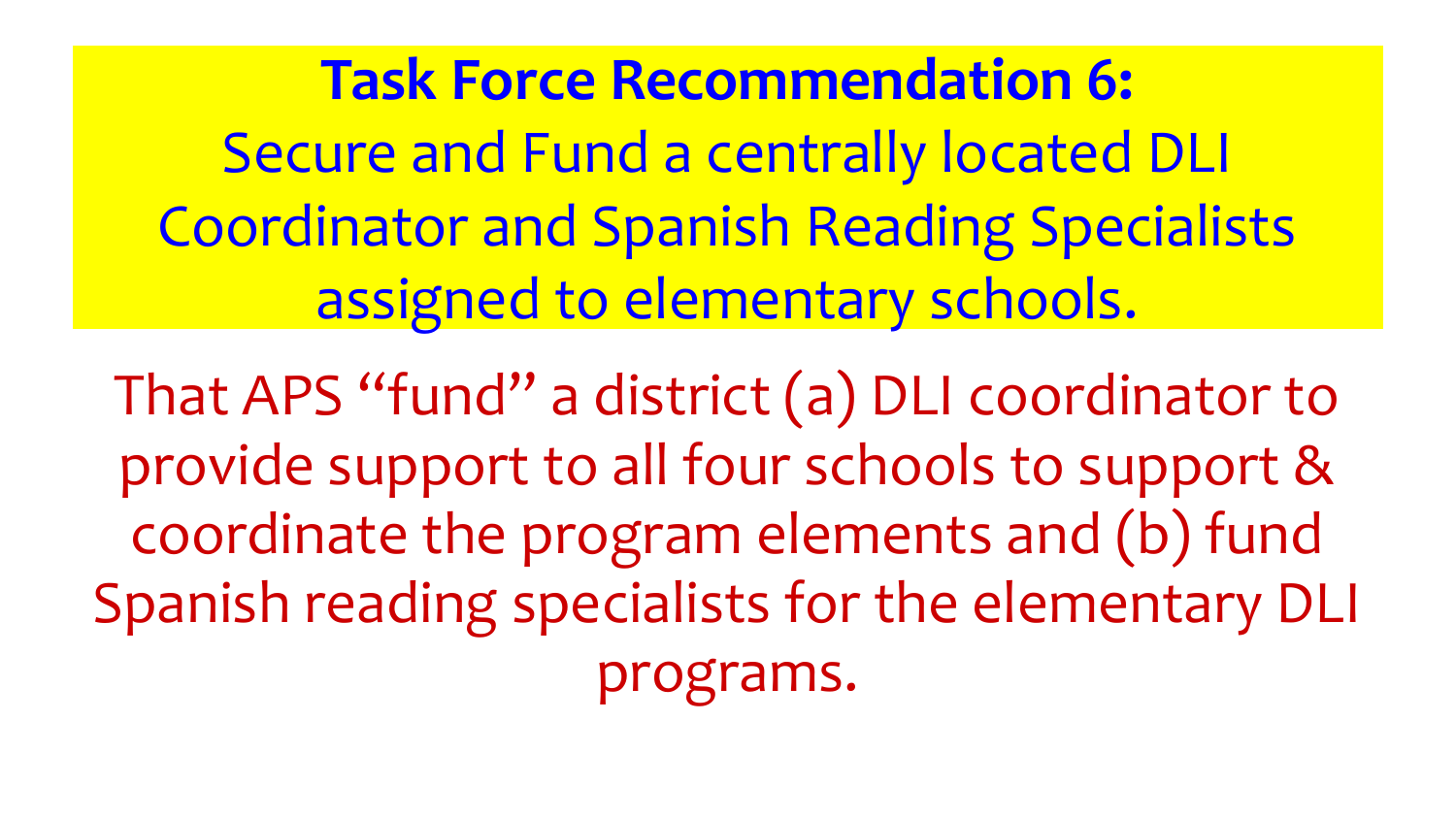**Task Force Recommendation 6:** Secure and Fund a centrally located DLI Coordinator and Spanish Reading Specialists assigned to elementary schools.

That APS "fund" a district (a) DLI coordinator to provide support to all four schools to support & coordinate the program elements and (b) fund Spanish reading specialists for the elementary DLI programs.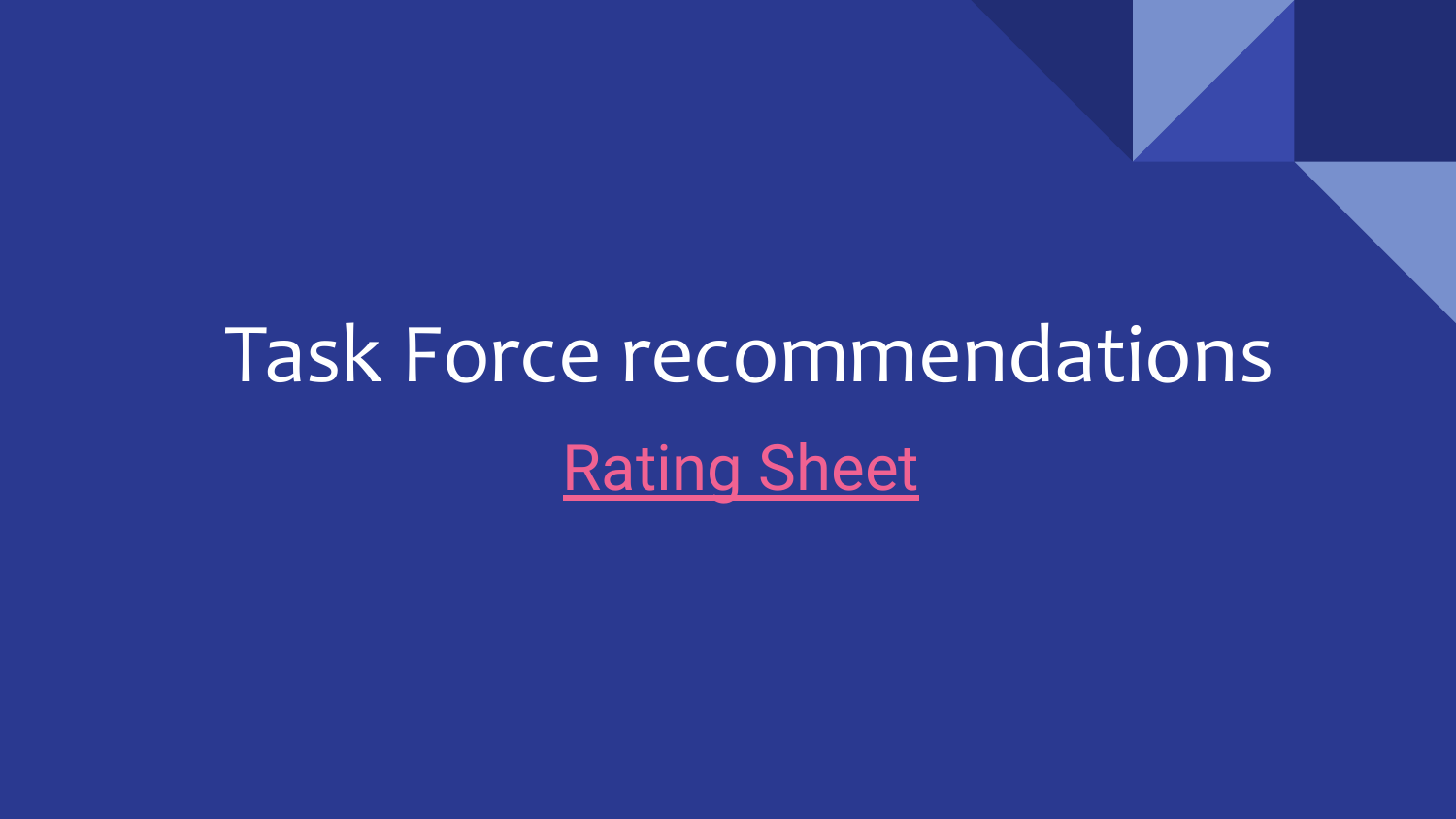# Task Force recommendations [Rating Sheet](https://forms.gle/EcdBEm9M8xYVUvsPA)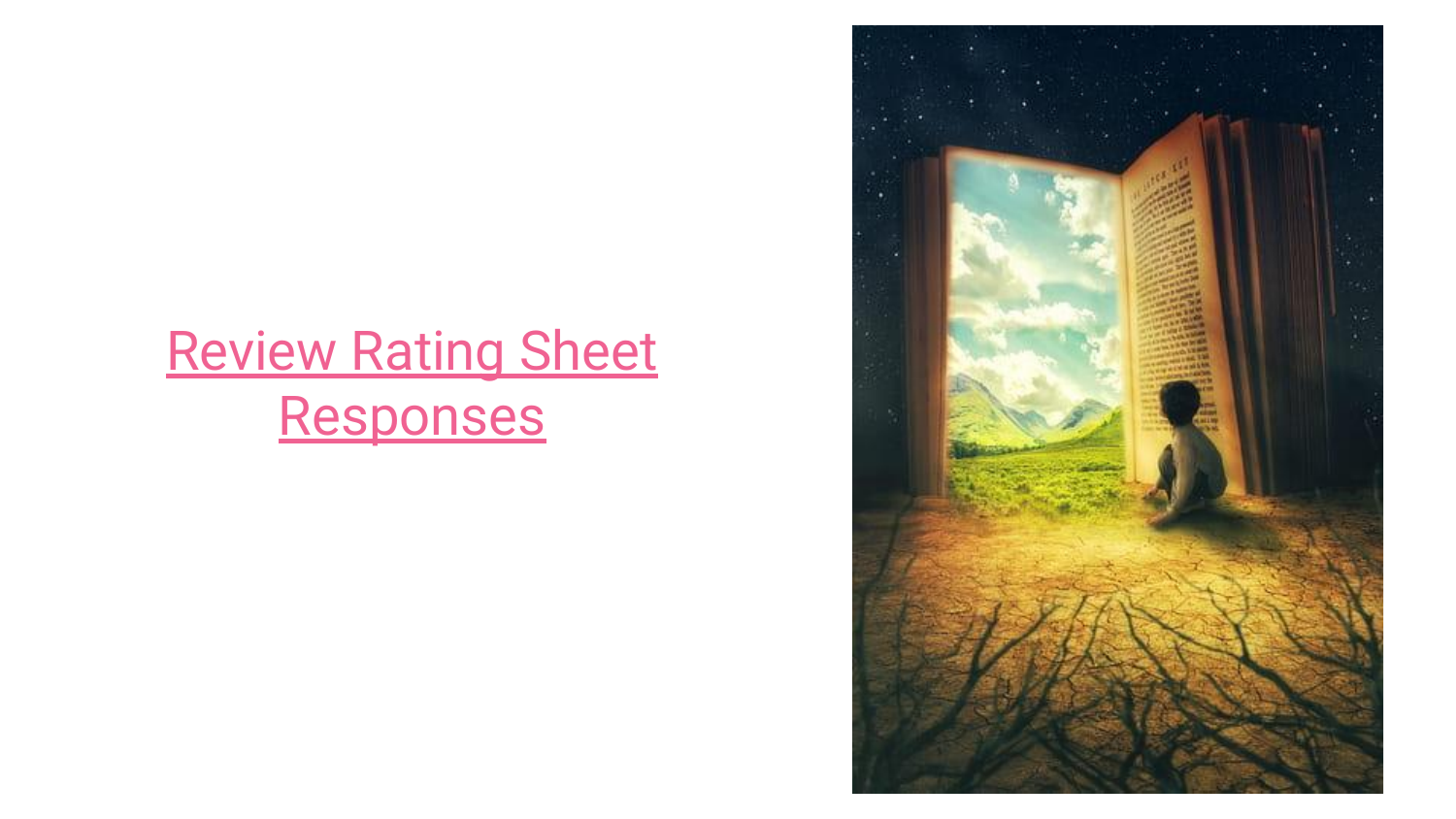### [Review Rating Sheet](https://docs.google.com/forms/d/19Tg5PGT8Ue9CdAyAe4SzWla_j0hq-ZdLZokMEPKmXa8/edit#responses) [Responses](https://docs.google.com/forms/d/19Tg5PGT8Ue9CdAyAe4SzWla_j0hq-ZdLZokMEPKmXa8/edit#responses)

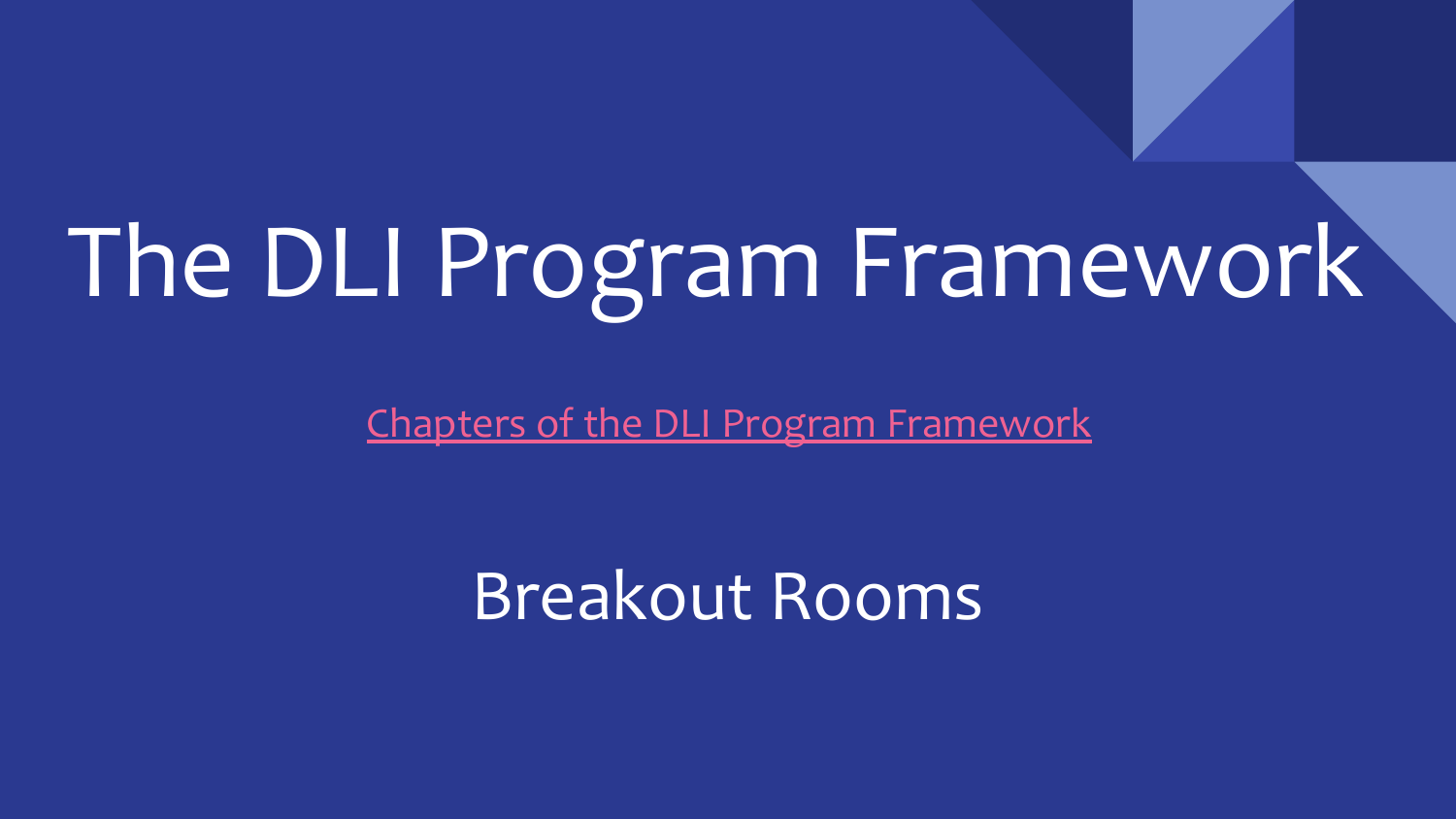# The DLI Program Framework

[Chapters of the DLI Program Framework](https://docs.google.com/document/d/1hmVUI3g2DKjPMBTMKnJ73041fUSFWXGx/edit?usp=sharing&ouid=104117142333306215553&rtpof=true&sd=true)

Breakout Rooms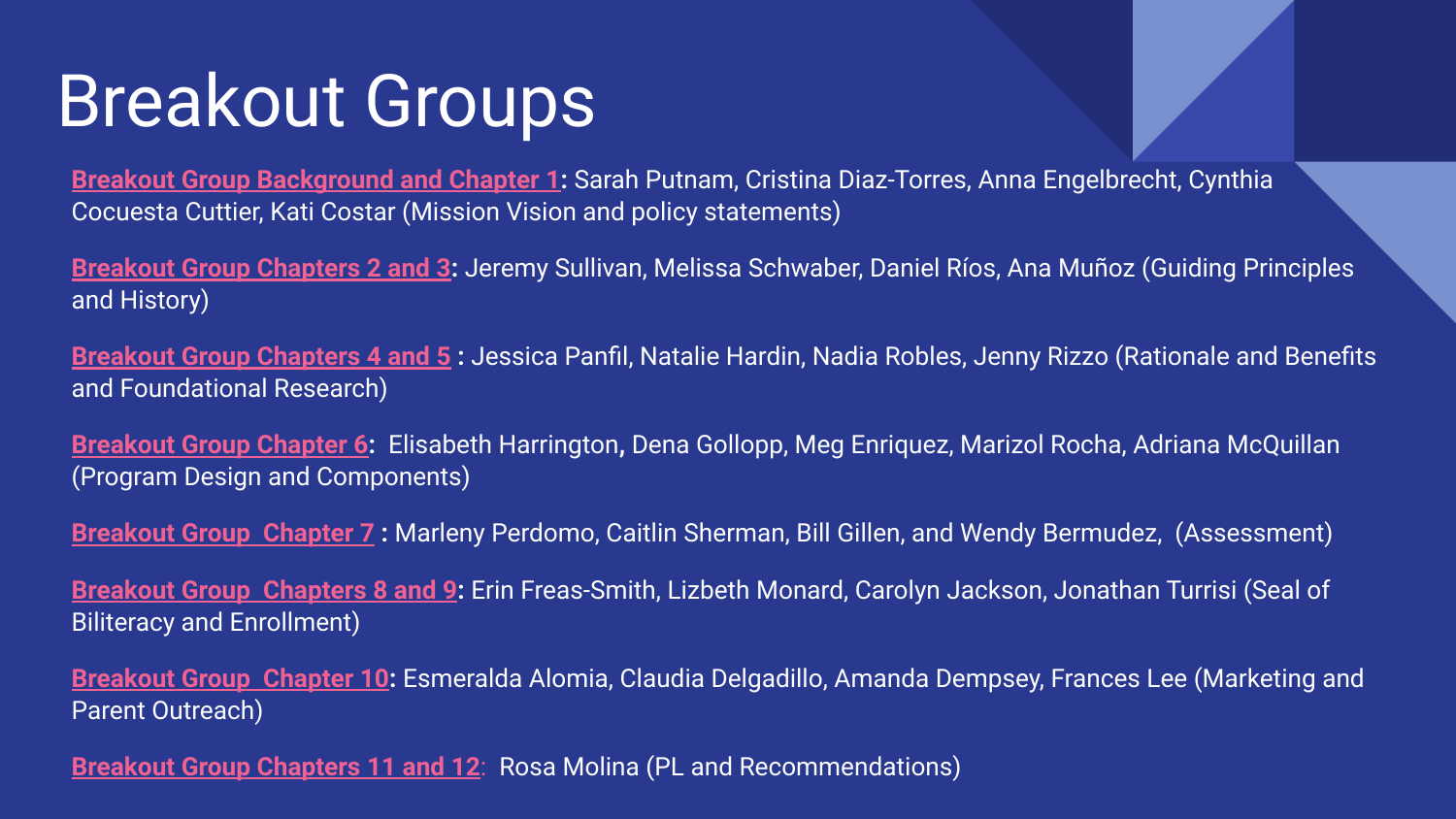# Breakout Groups

**[Breakout Group Background and Chapter 1](https://teams.microsoft.com/l/meetup-join/19%3ameeting_YzQ1ZmNkMWQtYTc3ZC00ODgwLWIyZGEtOGQ3YzU3MjUxOTQ0%40thread.v2/0?context=%7b%22Tid%22%3a%22313708a6-b7e9-492c-ac7a-f19734f3f702%22%2c%22Oid%22%3a%22a5a4edb8-8960-4703-9900-ab0ebff98315%22%7d):** Sarah Putnam, Cristina Diaz-Torres, Anna Engelbrecht, Cynthia Cocuesta Cuttier, Kati Costar (Mission Vision and policy statements)

**[Breakout Group Chapters 2 and 3](https://teams.microsoft.com/l/meetup-join/19%3ameeting_MTMwZTc1OGItYmJmYi00M2M0LWI3NzgtZDEwNWY4MjIxM2Yy%40thread.v2/0?context=%7b%22Tid%22%3a%22313708a6-b7e9-492c-ac7a-f19734f3f702%22%2c%22Oid%22%3a%22a5a4edb8-8960-4703-9900-ab0ebff98315%22%7d):** Jeremy Sullivan, Melissa Schwaber, Daniel Ríos, Ana Muñoz (Guiding Principles and History)

**[Breakout Group Chapters 4 and 5](https://teams.microsoft.com/l/meetup-join/19%3ameeting_NzA2NDhkMjUtNzJiMi00OWM0LWEyYTEtYjdmZTQ4MDQyNDM4%40thread.v2/0?context=%7b%22Tid%22%3a%22313708a6-b7e9-492c-ac7a-f19734f3f702%22%2c%22Oid%22%3a%22a5a4edb8-8960-4703-9900-ab0ebff98315%22%7d) :** Jessica Panfil, Natalie Hardin, Nadia Robles, Jenny Rizzo (Rationale and Benefits and Foundational Research)

**[Breakout Group Chapter 6](https://teams.microsoft.com/l/meetup-join/19%3ameeting_MjU3OWRlOTQtM2MyNy00YjhkLWE4OGQtMTAwNGZjZDBkZTBl%40thread.v2/0?context=%7b%22Tid%22%3a%22313708a6-b7e9-492c-ac7a-f19734f3f702%22%2c%22Oid%22%3a%22a5a4edb8-8960-4703-9900-ab0ebff98315%22%7d):** Elisabeth Harrington**,** Dena Gollopp, Meg Enriquez, Marizol Rocha, Adriana McQuillan (Program Design and Components)

**[Breakout Group Chapter 7](https://teams.microsoft.com/l/meetup-join/19%3ameeting_OWNjODVhZjgtMTBhNi00OGFlLTgyMWEtZjlhNTA1OTdmNmQ3%40thread.v2/0?context=%7b%22Tid%22%3a%22313708a6-b7e9-492c-ac7a-f19734f3f702%22%2c%22Oid%22%3a%22a5a4edb8-8960-4703-9900-ab0ebff98315%22%7d) :** Marleny Perdomo, Caitlin Sherman, Bill Gillen, and Wendy Bermudez, (Assessment)

**[Breakout Group Chapters 8 and 9](https://teams.microsoft.com/l/meetup-join/19%3ameeting_ZWZlZDdkNjMtOGRiNy00N2M0LTkwNjEtZjEyYjkwYjk3Zjg1%40thread.v2/0?context=%7b%22Tid%22%3a%22313708a6-b7e9-492c-ac7a-f19734f3f702%22%2c%22Oid%22%3a%22a5a4edb8-8960-4703-9900-ab0ebff98315%22%7d):** Erin Freas-Smith, Lizbeth Monard, Carolyn Jackson, Jonathan Turrisi (Seal of Biliteracy and Enrollment)

**[Breakout Group Chapter 10:](https://teams.microsoft.com/l/meetup-join/19%3ameeting_ODNmYzc2YTYtYzExNi00ZTQzLTkxMDUtZTJlYjA3NWMwMzdj%40thread.v2/0?context=%7b%22Tid%22%3a%22313708a6-b7e9-492c-ac7a-f19734f3f702%22%2c%22Oid%22%3a%22a5a4edb8-8960-4703-9900-ab0ebff98315%22%7d)** Esmeralda Alomia, Claudia Delgadillo, Amanda Dempsey, Frances Lee (Marketing and Parent Outreach)

**Breakout Group Chapters 11 and 12**: Rosa Molina (PL and Recommendations)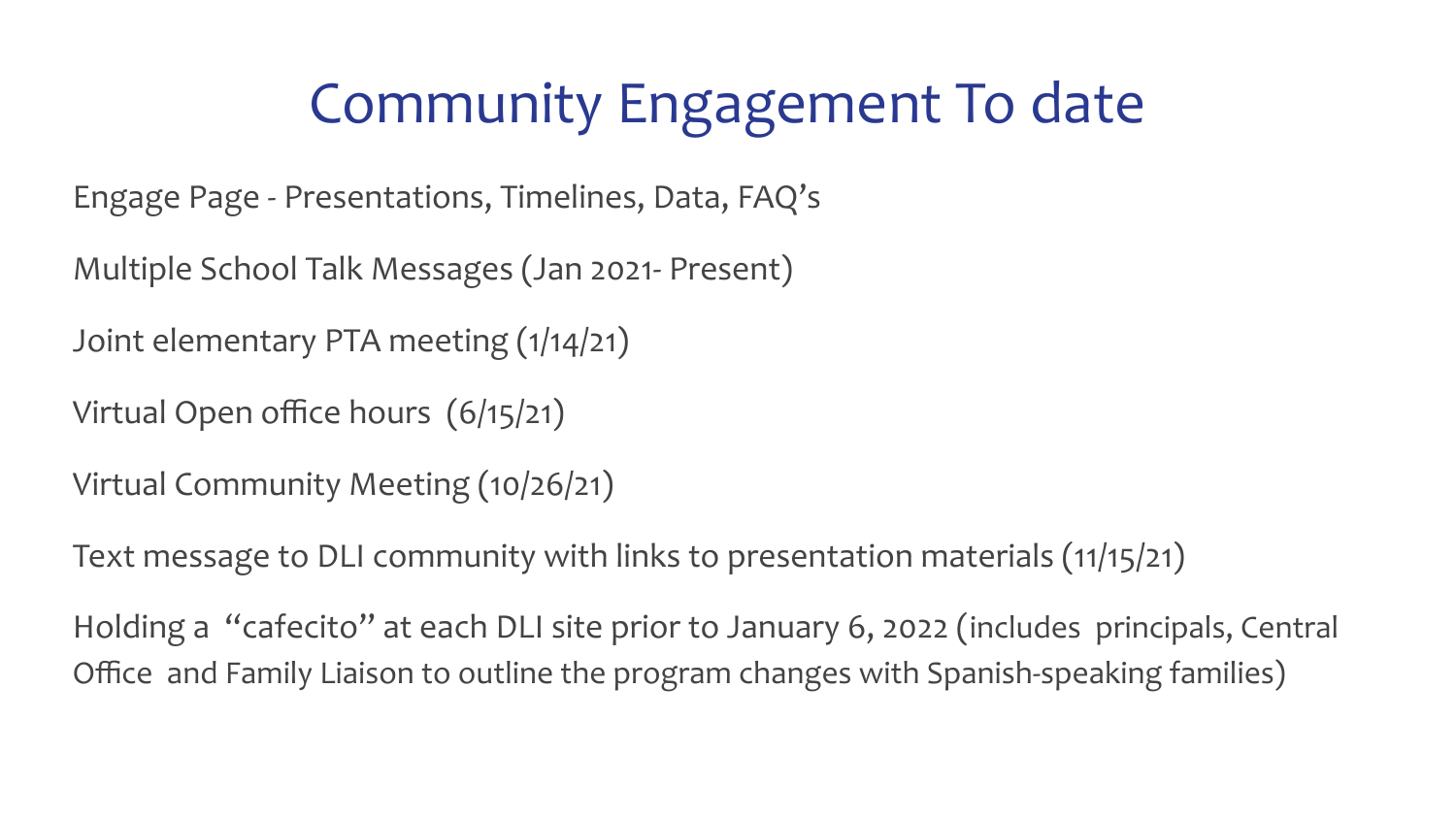## Community Engagement To date

Engage Page - Presentations, Timelines, Data, FAQ's

Multiple School Talk Messages (Jan 2021- Present)

Joint elementary PTA meeting (1/14/21)

Virtual Open office hours (6/15/21)

Virtual Community Meeting (10/26/21)

Text message to DLI community with links to presentation materials (11/15/21)

Holding a "cafecito" at each DLI site prior to January 6, 2022 (includes principals, Central Office and Family Liaison to outline the program changes with Spanish-speaking families)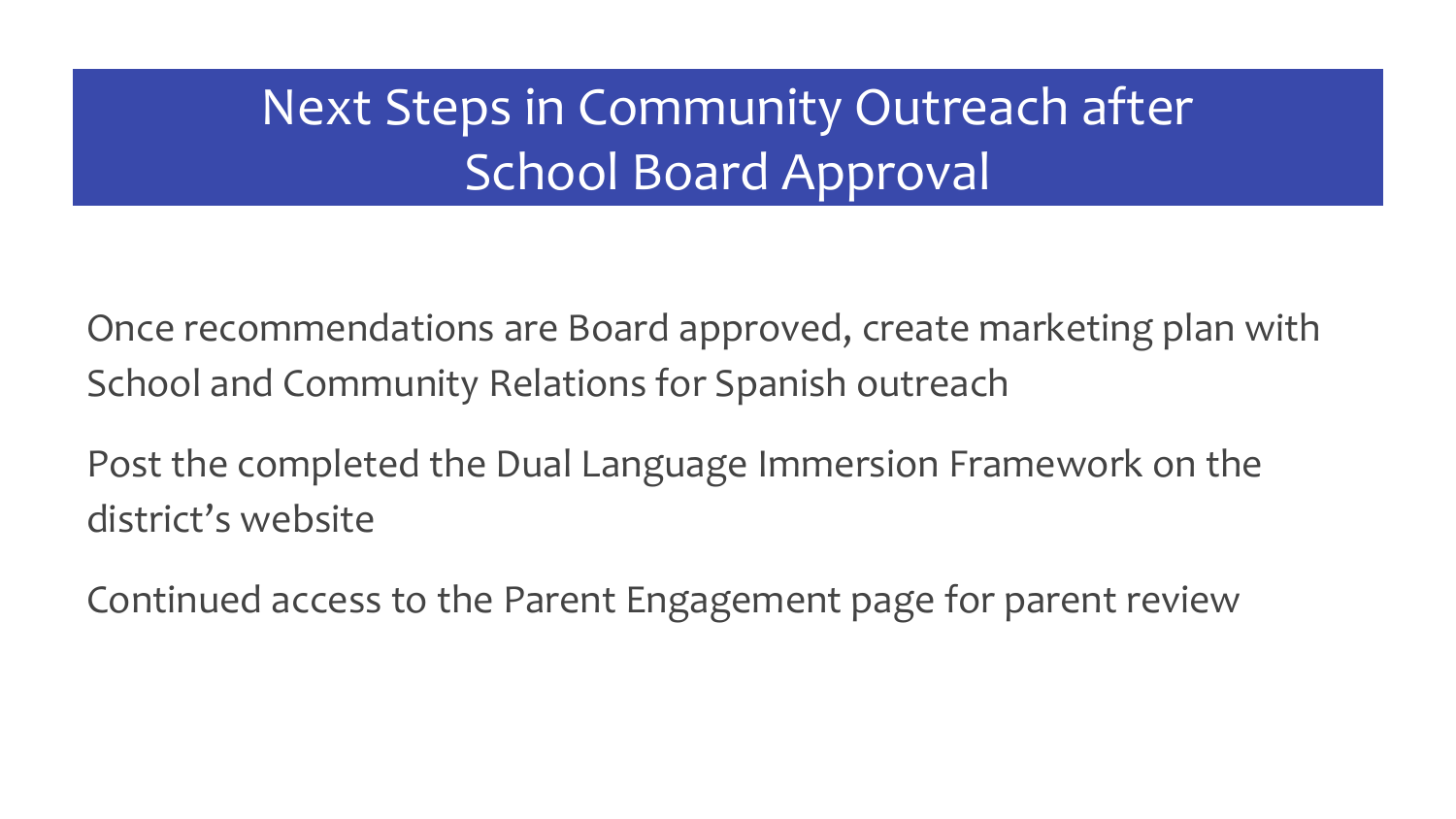#### Next Steps in Community Outreach after School Board Approval

Once recommendations are Board approved, create marketing plan with School and Community Relations for Spanish outreach

Post the completed the Dual Language Immersion Framework on the district's website

Continued access to the Parent Engagement page for parent review